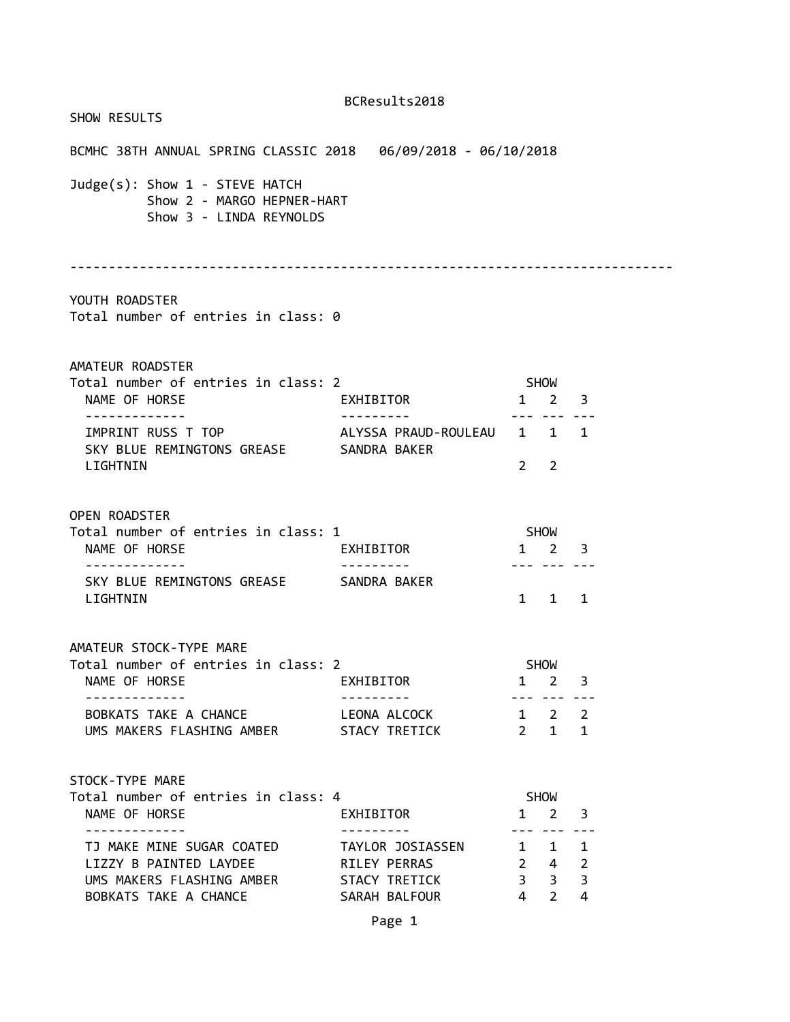| SHOW RESULTS                                                                            |                           |                |                                                           |                |  |
|-----------------------------------------------------------------------------------------|---------------------------|----------------|-----------------------------------------------------------|----------------|--|
|                                                                                         |                           |                |                                                           |                |  |
| Judge(s): Show 1 - STEVE HATCH<br>Show 2 - MARGO HEPNER-HART<br>Show 3 - LINDA REYNOLDS |                           |                |                                                           |                |  |
|                                                                                         |                           |                |                                                           |                |  |
| YOUTH ROADSTER<br>Total number of entries in class: 0                                   |                           |                |                                                           |                |  |
| AMATEUR ROADSTER                                                                        |                           |                |                                                           |                |  |
| Total number of entries in class: 2<br>NAME OF HORSE                                    | EXHIBITOR                 | <b>SHOW</b>    | $1 \quad 2 \quad 3$                                       |                |  |
| . <u>.</u>                                                                              | .                         |                | --- --- ---                                               |                |  |
| SKY BLUE REMINGTONS GREASE SANDRA BAKER<br>LIGHTNIN                                     |                           | $2^{\circ}$    | $\overline{2}$                                            |                |  |
| <b>OPEN ROADSTER</b><br>Total number of entries in class: 1<br>NAME OF HORSE            | EXHIBITOR                 |                | SHOW<br>$1 \quad 2 \quad 3$                               |                |  |
| . <u>.</u> .<br>SKY BLUE REMINGTONS GREASE SANDRA BAKER<br>LIGHTNIN                     | .                         |                | --- --- ---<br>$1 \quad 1 \quad 1$                        |                |  |
| AMATEUR STOCK-TYPE MARE<br>Total number of entries in class: 2<br>NAME OF HORSE         | EXHIBITOR                 |                | <b>SHOW</b><br>1 2                                        | 3              |  |
| -------------<br>BOBKATS TAKE A CHANCE<br>UMS MAKERS FLASHING AMBER STACY TRETICK       | ---------<br>LEONA ALCOCK |                | --- --- ---<br>$1 \quad 2 \quad 2$<br>$2 \quad 1 \quad 1$ |                |  |
| STOCK-TYPE MARE<br>Total number of entries in class: 4<br>NAME OF HORSE                 | EXHIBITOR                 | $\mathbf{1}$   | SHOW<br>$\overline{2}$                                    | 3              |  |
| .<br>TJ MAKE MINE SUGAR COATED TAYLOR JOSIASSEN                                         |                           |                | --- --- ---<br>$1 \quad 1 \quad 1$                        |                |  |
| LIZZY B PAINTED LAYDEE<br>UMS MAKERS FLASHING AMBER STACY TRETICK                       | RILEY PERRAS              |                | $2 \quad 4 \quad 2$<br>$3 \quad 3$                        | $\overline{3}$ |  |
| BOBKATS TAKE A CHANCE                                                                   | SARAH BALFOUR             | $\overline{4}$ | $2^{\circ}$                                               | 4              |  |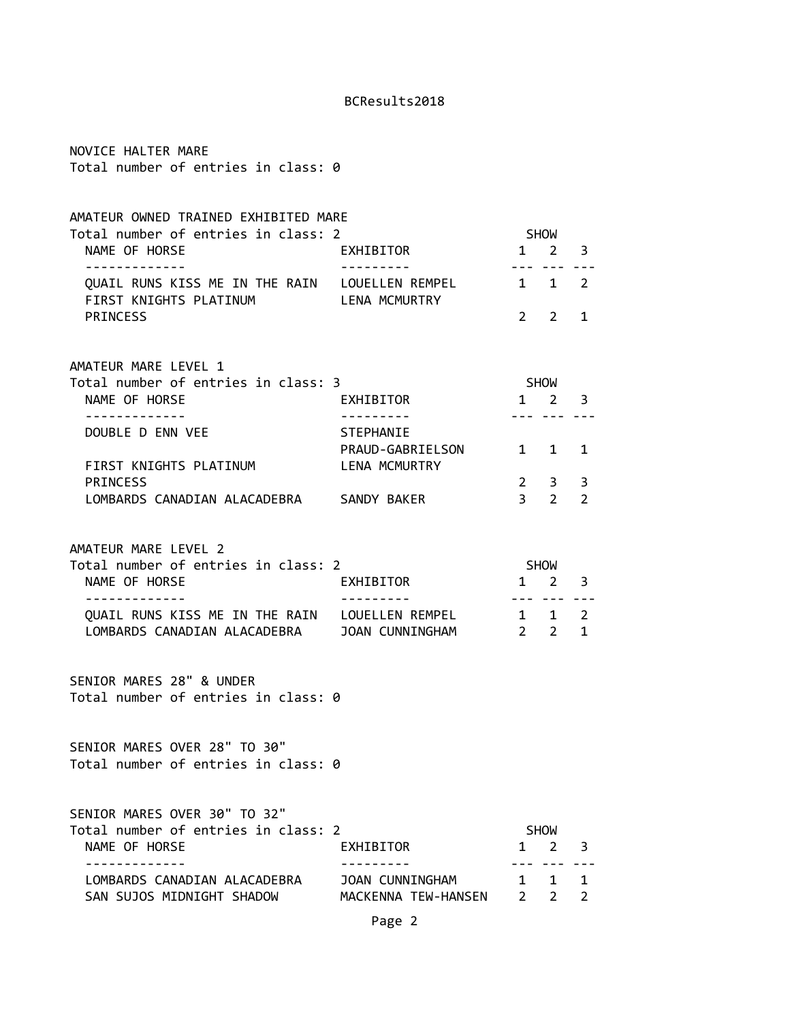| NOVICE HALTER MARE<br>Total number of entries in class: 0                                                                                                          |                                                       |                     |                            |                        |
|--------------------------------------------------------------------------------------------------------------------------------------------------------------------|-------------------------------------------------------|---------------------|----------------------------|------------------------|
| AMATEUR OWNED TRAINED EXHIBITED MARE<br>Total number of entries in class: 2<br>NAME OF HORSE<br>. <u>.</u> .                                                       | EXHIBITOR                                             | SHOW<br>$1 \quad$   | $2^{\circ}$<br>--- ---     | 3                      |
| QUAIL RUNS KISS ME IN THE RAIN LOUELLEN REMPEL<br>FIRST KNIGHTS PLATINUM LENA MCMURTRY<br><b>PRINCESS</b>                                                          |                                                       | 1 1<br>$2 \sqrt{2}$ | 2                          | 2<br>1                 |
| AMATEUR MARE LEVEL 1<br>Total number of entries in class: 3<br>NAME OF HORSE                                                                                       | EXHIBITOR<br>. <u>.</u> .                             | SHOW                | $1 \quad 2$                | 3                      |
| . <u>.</u><br>DOUBLE D ENN VEE<br>FIRST KNIGHTS PLATINUM<br><b>PRINCESS</b><br>LOMBARDS CANADIAN ALACADEBRA SANDY BAKER                                            | <b>STEPHANIE</b><br>PRAUD-GABRIELSON<br>LENA MCMURTRY | $3 \quad 2$         | $1 \quad 1$<br>$2 \quad 3$ | 1<br>3<br>2            |
| AMATEUR MARE LEVEL 2<br>Total number of entries in class: 2<br>NAME OF HORSE<br>QUAIL RUNS KISS ME IN THE RAIN LOUELLEN REMPEL 1 1<br>LOMBARDS CANADIAN ALACADEBRA | EXHIBITOR<br>JOAN CUNNINGHAM                          | $2 \t2$             | SHOW<br>$1 \quad 2$        | 3<br>2<br>$\mathbf{1}$ |
| SENIOR MARES 28" & UNDER<br>Total number of entries in class: 0                                                                                                    |                                                       |                     |                            |                        |
| SENIOR MARES OVER 28" TO 30"<br>Total number of entries in class: 0                                                                                                |                                                       |                     |                            |                        |
| SENIOR MARES OVER 30" TO 32"<br>Total number of entries in class: 2<br>NAME OF HORSE<br>---------                                                                  | EXHIBITOR                                             | 1                   | <b>SHOW</b><br>2           | 3                      |
| LOMBARDS CANADIAN ALACADEBRA<br>SAN SUJOS MIDNIGHT SHADOW                                                                                                          | JOAN CUNNINGHAM<br>MACKENNA TEW-HANSEN 2 2<br>Page 2  | $1 \quad$           | $\mathbf{1}$               | 1<br>$\mathcal{P}$     |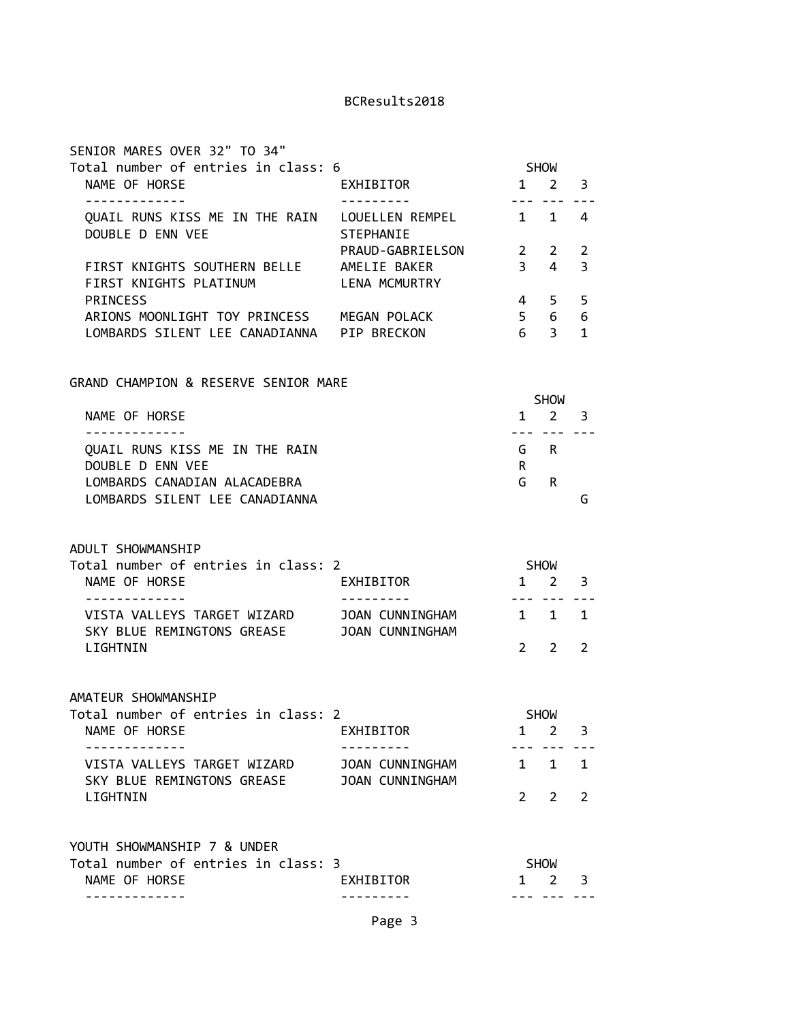| SENIOR MARES OVER 32" TO 34"                                              |                                           |                                                                                                                                                                                                                                                                                                                                                                                                                                                                            |                                    |              |
|---------------------------------------------------------------------------|-------------------------------------------|----------------------------------------------------------------------------------------------------------------------------------------------------------------------------------------------------------------------------------------------------------------------------------------------------------------------------------------------------------------------------------------------------------------------------------------------------------------------------|------------------------------------|--------------|
| Total number of entries in class: 6                                       |                                           |                                                                                                                                                                                                                                                                                                                                                                                                                                                                            | <b>SHOW</b>                        |              |
| NAME OF HORSE<br>-------------                                            | EXHIBITOR<br>----------                   | $\frac{1}{2} \left( \frac{1}{2} \right) \left( \frac{1}{2} \right) \left( \frac{1}{2} \right) \left( \frac{1}{2} \right) \left( \frac{1}{2} \right) \left( \frac{1}{2} \right) \left( \frac{1}{2} \right) \left( \frac{1}{2} \right) \left( \frac{1}{2} \right) \left( \frac{1}{2} \right) \left( \frac{1}{2} \right) \left( \frac{1}{2} \right) \left( \frac{1}{2} \right) \left( \frac{1}{2} \right) \left( \frac{1}{2} \right) \left( \frac{1}{2} \right) \left( \frac$ | 1 2                                | 3            |
| QUAIL RUNS KISS ME IN THE RAIN LOUELLEN REMPEL 1<br>DOUBLE D ENN VEE      | <b>STEPHANTE</b>                          |                                                                                                                                                                                                                                                                                                                                                                                                                                                                            | $\mathbf{1}$                       | 4            |
|                                                                           | PRAUD-GABRIELSON                          | $\overline{\mathbf{2}}$                                                                                                                                                                                                                                                                                                                                                                                                                                                    | 2                                  | 2            |
| FIRST KNIGHTS SOUTHERN BELLE AMELIE BAKER<br>FIRST KNIGHTS PLATINUM       | LENA MCMURTRY                             | 3 <sup>7</sup>                                                                                                                                                                                                                                                                                                                                                                                                                                                             | $\overline{4}$                     | 3            |
| <b>PRINCESS</b>                                                           |                                           | 4                                                                                                                                                                                                                                                                                                                                                                                                                                                                          | 5                                  | 5            |
| ARIONS MOONLIGHT TOY PRINCESS MEGAN POLACK                                |                                           |                                                                                                                                                                                                                                                                                                                                                                                                                                                                            | 5 6                                | 6            |
| LOMBARDS SILENT LEE CANADIANNA PIP BRECKON                                |                                           | 6 <sup>1</sup>                                                                                                                                                                                                                                                                                                                                                                                                                                                             | 3 <sup>7</sup>                     | $\mathbf{1}$ |
| GRAND CHAMPION & RESERVE SENIOR MARE                                      |                                           |                                                                                                                                                                                                                                                                                                                                                                                                                                                                            |                                    |              |
|                                                                           |                                           |                                                                                                                                                                                                                                                                                                                                                                                                                                                                            | SHOW                               |              |
| NAME OF HORSE<br>. <u>.</u> .                                             |                                           |                                                                                                                                                                                                                                                                                                                                                                                                                                                                            | $1 \quad 2 \quad 3$<br>--- --- --- |              |
| QUAIL RUNS KISS ME IN THE RAIN<br>DOUBLE D ENN VEE                        |                                           | R                                                                                                                                                                                                                                                                                                                                                                                                                                                                          | G R                                |              |
| LOMBARDS CANADIAN ALACADEBRA                                              |                                           | G                                                                                                                                                                                                                                                                                                                                                                                                                                                                          | R.                                 |              |
| LOMBARDS SILENT LEE CANADIANNA                                            |                                           |                                                                                                                                                                                                                                                                                                                                                                                                                                                                            |                                    | G            |
| ADULT SHOWMANSHIP                                                         |                                           |                                                                                                                                                                                                                                                                                                                                                                                                                                                                            |                                    |              |
| Total number of entries in class: 2                                       |                                           | SHOW                                                                                                                                                                                                                                                                                                                                                                                                                                                                       |                                    |              |
| NAME OF HORSE                                                             | EXHIBITOR                                 | -------                                                                                                                                                                                                                                                                                                                                                                                                                                                                    | $1 \quad 2$                        | 3            |
| VISTA VALLEYS TARGET WIZARD<br>SKY BLUE REMINGTONS GREASE JOAN CUNNINGHAM | JOAN CUNNINGHAM                           |                                                                                                                                                                                                                                                                                                                                                                                                                                                                            | $1 \quad 1$                        | 1            |
| LIGHTNIN                                                                  |                                           | $2^{\circ}$                                                                                                                                                                                                                                                                                                                                                                                                                                                                | 2                                  | 2            |
| AMATEUR SHOWMANSHIP                                                       |                                           |                                                                                                                                                                                                                                                                                                                                                                                                                                                                            |                                    |              |
| Total number of entries in class: 2                                       |                                           |                                                                                                                                                                                                                                                                                                                                                                                                                                                                            | <b>SHOW</b>                        |              |
| NAME OF HORSE                                                             | EXHIBITOR                                 | 1                                                                                                                                                                                                                                                                                                                                                                                                                                                                          | 2                                  | 3            |
| VISTA VALLEYS TARGET WIZARD<br>SKY BLUE REMINGTONS GREASE                 | JOAN CUNNINGHAM<br><b>JOAN CUNNINGHAM</b> | $\mathbf{1}$                                                                                                                                                                                                                                                                                                                                                                                                                                                               | 1                                  | 1            |
| LIGHTNIN                                                                  |                                           | $2^{\circ}$                                                                                                                                                                                                                                                                                                                                                                                                                                                                | 2                                  | 2            |
| YOUTH SHOWMANSHIP 7 & UNDER                                               |                                           |                                                                                                                                                                                                                                                                                                                                                                                                                                                                            |                                    |              |
| Total number of entries in class: 3                                       |                                           |                                                                                                                                                                                                                                                                                                                                                                                                                                                                            | <b>SHOW</b>                        |              |
| NAME OF HORSE                                                             | EXHIBITOR                                 | 1                                                                                                                                                                                                                                                                                                                                                                                                                                                                          | 2                                  | 3            |
|                                                                           |                                           |                                                                                                                                                                                                                                                                                                                                                                                                                                                                            |                                    |              |

Page 3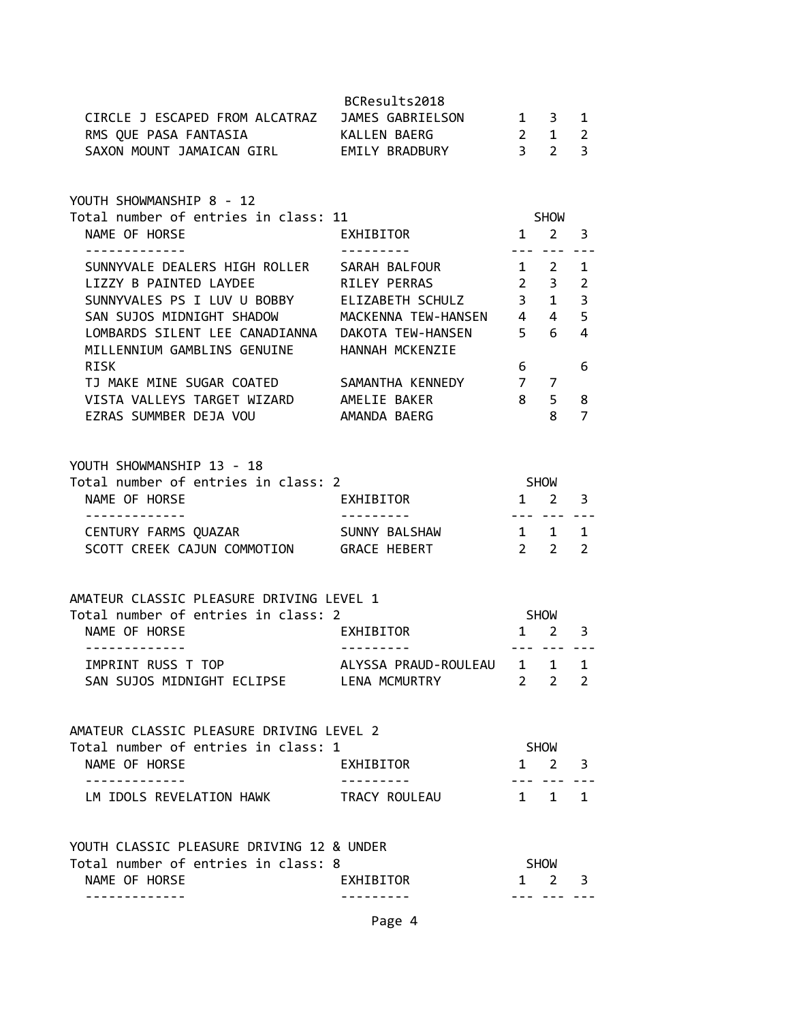|                                                                       | BCResults2018            |                |                                |                         |
|-----------------------------------------------------------------------|--------------------------|----------------|--------------------------------|-------------------------|
| CIRCLE J ESCAPED FROM ALCATRAZ JAMES GABRIELSON                       |                          |                | $1 \quad 3$                    | $\mathbf{1}$            |
| RMS QUE PASA FANTASIA (KALLEN BAERG                                   |                          |                | $2 \quad 1$                    | $\overline{2}$          |
| SAXON MOUNT JAMAICAN GIRL EMILY BRADBURY                              |                          |                | 3 <sub>2</sub>                 | $\overline{3}$          |
|                                                                       |                          |                |                                |                         |
| YOUTH SHOWMANSHIP 8 - 12                                              |                          |                |                                |                         |
| Total number of entries in class: 11                                  |                          |                | <b>SHOW</b>                    |                         |
| NAME OF HORSE                                                         | EXHIBITOR                |                | $1 \quad 2 \quad 3$            |                         |
| -------------                                                         | ----------               |                | --- --- ---                    |                         |
| SUNNYVALE DEALERS HIGH ROLLER SARAH BALFOUR<br>LIZZY B PAINTED LAYDEE | $1\quad 2$               |                |                                | 1                       |
|                                                                       | RILEY PERRAS             |                | $2 \quad 3$                    | $\overline{2}$          |
| SUNNYVALES PS I LUV U BOBBY ELIZABETH SCHULZ 3 1                      |                          |                |                                | 3                       |
| SAN SUJOS MIDNIGHT SHADOW MACKENNA TEW-HANSEN 4 4                     |                          |                |                                | 5                       |
| LOMBARDS SILENT LEE CANADIANNA  DAKOTA TEW-HANSEN                     |                          |                | $5\qquad 6$                    | 4                       |
| MILLENNIUM GAMBLINS GENUINE HANNAH MCKENZIE                           |                          |                |                                |                         |
| <b>RISK</b>                                                           |                          | $6 \quad \Box$ |                                | 6                       |
| TJ MAKE MINE SUGAR COATED SAMANTHA KENNEDY                            |                          | $7\quad 7$     |                                |                         |
| VISTA VALLEYS TARGET WIZARD AMELIE BAKER                              |                          | 8 <sup>1</sup> | $5 -$                          | 8                       |
| EZRAS SUMMBER DEJA VOU                                                | AMANDA BAERG             |                | 8                              | $\overline{7}$          |
|                                                                       |                          |                |                                |                         |
| YOUTH SHOWMANSHIP 13 - 18                                             |                          |                |                                |                         |
| Total number of entries in class: 2                                   |                          |                | <b>SHOW</b>                    |                         |
| NAME OF HORSE                                                         | EXHIBITOR                |                | $1\quad 2$                     | 3                       |
| -------------                                                         | ---------                |                | --- --- ---                    |                         |
| CENTURY FARMS QUAZAR SUNNY BALSHAW                                    |                          |                | $1 \quad 1$                    | 1                       |
| SCOTT CREEK CAJUN COMMOTION GRACE HEBERT                              |                          |                | $2\quad 2$                     | 2                       |
|                                                                       |                          |                |                                |                         |
| AMATEUR CLASSIC PLEASURE DRIVING LEVEL 1                              |                          |                |                                |                         |
| Total number of entries in class: 2                                   |                          | SHOW           |                                |                         |
| NAME OF HORSE<br>-------------                                        | EXHIBITOR                |                | $1 \quad 2$<br><b>--------</b> | $\overline{\mathbf{3}}$ |
| IMPRINT RUSS T TOP                                                    | ALYSSA PRAUD-ROULEAU 1 1 |                |                                | 1                       |
| SAN SUJOS MIDNIGHT ECLIPSE LENA MCMURTRY                              |                          | $\overline{2}$ | 2                              | 2                       |
|                                                                       |                          |                |                                |                         |
| AMATEUR CLASSIC PLEASURE DRIVING LEVEL 2                              |                          |                |                                |                         |
| Total number of entries in class: 1                                   |                          |                | SHOW                           |                         |
| NAME OF HORSE                                                         | EXHIBITOR                |                | $1 \quad 2 \quad 3$            |                         |
| -------------<br>LM IDOLS REVELATION HAWK                             | TRACY ROULEAU            |                | --- ---<br>1 1 1               |                         |
|                                                                       |                          |                |                                |                         |
| YOUTH CLASSIC PLEASURE DRIVING 12 & UNDER                             |                          |                |                                |                         |
| Total number of entries in class: 8                                   |                          |                | SHOW                           |                         |
| NAME OF HORSE                                                         | EXHIBITOR                | $1 \quad$      | $2^{\circ}$                    | 3                       |
|                                                                       |                          |                | ---- ---                       |                         |
|                                                                       |                          |                |                                |                         |

Page 4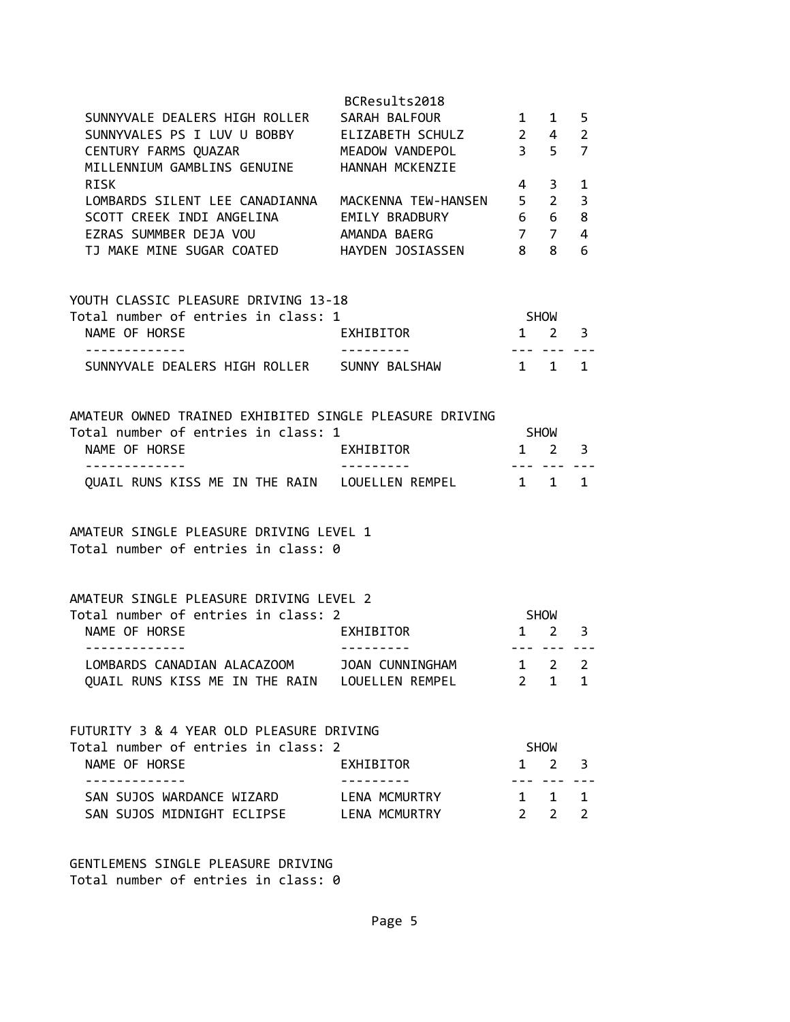|                                                                                                                                                                                                                                                                                                                                                  | BCResults2018              |                                                                  |                                                                                |                                         |
|--------------------------------------------------------------------------------------------------------------------------------------------------------------------------------------------------------------------------------------------------------------------------------------------------------------------------------------------------|----------------------------|------------------------------------------------------------------|--------------------------------------------------------------------------------|-----------------------------------------|
| SUNNYVALE DEALERS HIGH ROLLER                                                                                                                                                                                                                                                                                                                    | SARAH BALFOUR              | $\mathbf{1}$                                                     | $1 \quad$                                                                      | 5                                       |
| SUNNYVALES PS I LUV U BOBBY ELIZABETH SCHULZ                                                                                                                                                                                                                                                                                                     |                            | $2 \quad 4$                                                      |                                                                                | $\overline{2}$                          |
| CENTURY FARMS QUAZAR MEADOW VANDEPOL                                                                                                                                                                                                                                                                                                             |                            | 3 <sub>5</sub>                                                   |                                                                                | $\overline{7}$                          |
| MILLENNIUM GAMBLINS GENUINE HANNAH MCKENZIE                                                                                                                                                                                                                                                                                                      |                            |                                                                  |                                                                                |                                         |
|                                                                                                                                                                                                                                                                                                                                                  |                            |                                                                  |                                                                                |                                         |
| <b>RISK</b>                                                                                                                                                                                                                                                                                                                                      |                            | 4                                                                | 3                                                                              | 1                                       |
| LOMBARDS SILENT LEE CANADIANNA                                                                                                                                                                                                                                                                                                                   | MACKENNA TEW-HANSEN 5 2    |                                                                  |                                                                                | 3                                       |
| SCOTT CREEK INDI ANGELINA                                                                                                                                                                                                                                                                                                                        | EMILY BRADBURY             |                                                                  | 6 6                                                                            | 8                                       |
|                                                                                                                                                                                                                                                                                                                                                  |                            |                                                                  |                                                                                | $\overline{4}$                          |
| CANAS SUMMBER DEJA VOU AMANDA BAERG 7 7<br>TJ MAKE MINE SUGAR COATED HAYDEN JOSIASSEN 8 8                                                                                                                                                                                                                                                        |                            |                                                                  |                                                                                | 6                                       |
| YOUTH CLASSIC PLEASURE DRIVING 13-18<br>Total number of entries in class: 1<br>NAME OF HORSE<br>-----------<br>SUNNYVALE DEALERS HIGH ROLLER SUNNY BALSHAW<br>AMATEUR OWNED TRAINED EXHIBITED SINGLE PLEASURE DRIVING<br>Total number of entries in class: 1<br>NAME OF HORSE<br>-------------<br>QUAIL RUNS KISS ME IN THE RAIN LOUELLEN REMPEL | EXHIBITOR<br>EXHIBITOR     | <b>SHOW</b><br>$1 \quad 2$<br>$1 \quad 1 \quad 1$<br>$1 \quad 1$ | <u> - - - - - - - - -</u><br><b>SHOW</b><br>$1 \quad 2 \quad 3$<br>--- --- --- | $\overline{\mathbf{3}}$<br>$\mathbf{1}$ |
| AMATEUR SINGLE PLEASURE DRIVING LEVEL 1<br>Total number of entries in class: 0<br>AMATEUR SINGLE PLEASURE DRIVING LEVEL 2<br>Total number of entries in class: 2<br>NAME OF HORSE                                                                                                                                                                | EXHIBITOR                  | <b>SHOW</b><br>$1 \quad 2$                                       |                                                                                | 3                                       |
| .                                                                                                                                                                                                                                                                                                                                                | ---------                  |                                                                  |                                                                                |                                         |
| LOMBARDS CANADIAN ALACAZOOM JOAN CUNNINGHAM 1 2                                                                                                                                                                                                                                                                                                  |                            |                                                                  |                                                                                | $\overline{2}$                          |
| QUAIL RUNS KISS ME IN THE RAIN LOUELLEN REMPEL                                                                                                                                                                                                                                                                                                   |                            | $2^{\circ}$                                                      | $\mathbf{1}$                                                                   | 1                                       |
| FUTURITY 3 & 4 YEAR OLD PLEASURE DRIVING<br>Total number of entries in class: 2<br>NAME OF HORSE<br>SAN SUJOS WARDANCE WIZARD                                                                                                                                                                                                                    | EXHIBITOR<br>LENA MCMURTRY | $\mathbf{1}$                                                     | <b>SHOW</b><br>$\overline{2}$<br>$- - - -$<br>$1 \quad 1 \quad 1$              | 3                                       |
| SAN SUJOS MIDNIGHT ECLIPSE LENA MCMURTRY                                                                                                                                                                                                                                                                                                         |                            |                                                                  | $2 \quad 2$                                                                    | $\overline{2}$                          |
|                                                                                                                                                                                                                                                                                                                                                  |                            |                                                                  |                                                                                |                                         |

GENTLEMENS SINGLE PLEASURE DRIVING Total number of entries in class: 0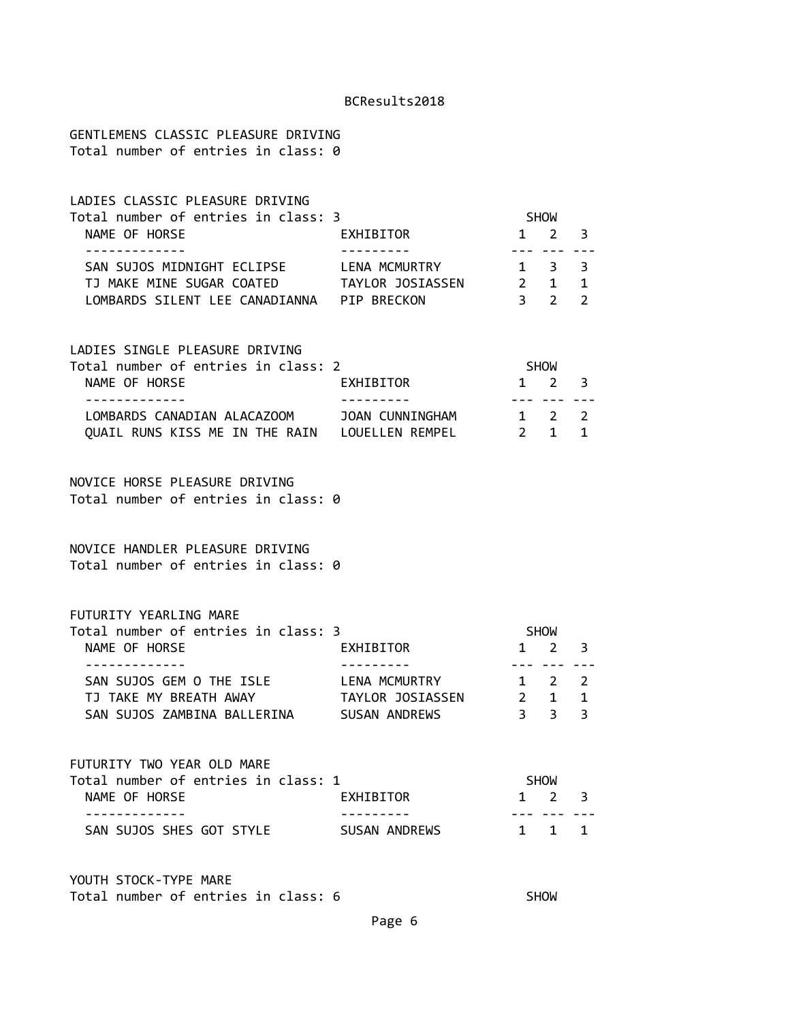GENTLEMENS CLASSIC PLEASURE DRIVING Total number of entries in class: 0

| LADIES CLASSIC PLEASURE DRIVING     |                  |                     |  |
|-------------------------------------|------------------|---------------------|--|
| Total number of entries in class: 3 |                  | <b>SHOW</b>         |  |
| NAME OF HORSE                       | EXHIBITOR        | $1 \quad 2 \quad 3$ |  |
|                                     |                  |                     |  |
| SAN SUJOS MIDNIGHT ECLIPSE          | LENA MCMURTRY    | 1 3 3               |  |
| TJ MAKE MINE SUGAR COATED           | TAYLOR JOSIASSEN | $\mathbf{1}$        |  |
| LOMBARDS SILENT LEE CANADIANNA      | PTP BRFCKON      |                     |  |

### LADIES SINGLE PLEASURE DRIVING

| Total number of entries in class: 2 |                 | <b>SHOW</b>         |  |
|-------------------------------------|-----------------|---------------------|--|
| NAME OF HORSE                       | EXHIBITOR       | $1 \quad 2 \quad 3$ |  |
|                                     |                 |                     |  |
| LOMBARDS CANADIAN ALACAZOOM         | JOAN CUNNINGHAM | $1 \quad 2 \quad 2$ |  |
| OUAIL RUNS KISS ME IN THE RAIN      | LOUELLEN REMPEL | 2 1 1               |  |

#### NOVICE HORSE PLEASURE DRIVING Total number of entries in class: 0

#### NOVICE HANDLER PLEASURE DRIVING Total number of entries in class: 0

#### FUTURITY YEARLING MARE

| Total number of entries in class: 3 |                  | <b>SHOW</b> |  |
|-------------------------------------|------------------|-------------|--|
| NAME OF HORSE                       | EXHIBITOR        | $1 \t2 \t3$ |  |
|                                     |                  |             |  |
| SAN SUJOS GEM O THE ISLE            | LENA MCMURTRY    | 1 2 2       |  |
| TJ TAKE MY BREATH AWAY              | TAYLOR JOSIASSEN | 2 1 1       |  |
| SAN SUJOS ZAMBINA BALLERINA         | SUSAN ANDREWS    | २ २ २       |  |

| FUTURITY TWO YEAR OLD MARE          |               |                     |  |
|-------------------------------------|---------------|---------------------|--|
| Total number of entries in class: 1 |               | <b>SHOW</b>         |  |
| NAME OF HORSE                       | EXHIBITOR     | $1 \quad 2 \quad 3$ |  |
|                                     |               |                     |  |
| SAN SUJOS SHES GOT STYLE            | SUSAN ANDREWS | 1 1 1               |  |

YOUTH STOCK-TYPE MARE Total number of entries in class: 6 SHOW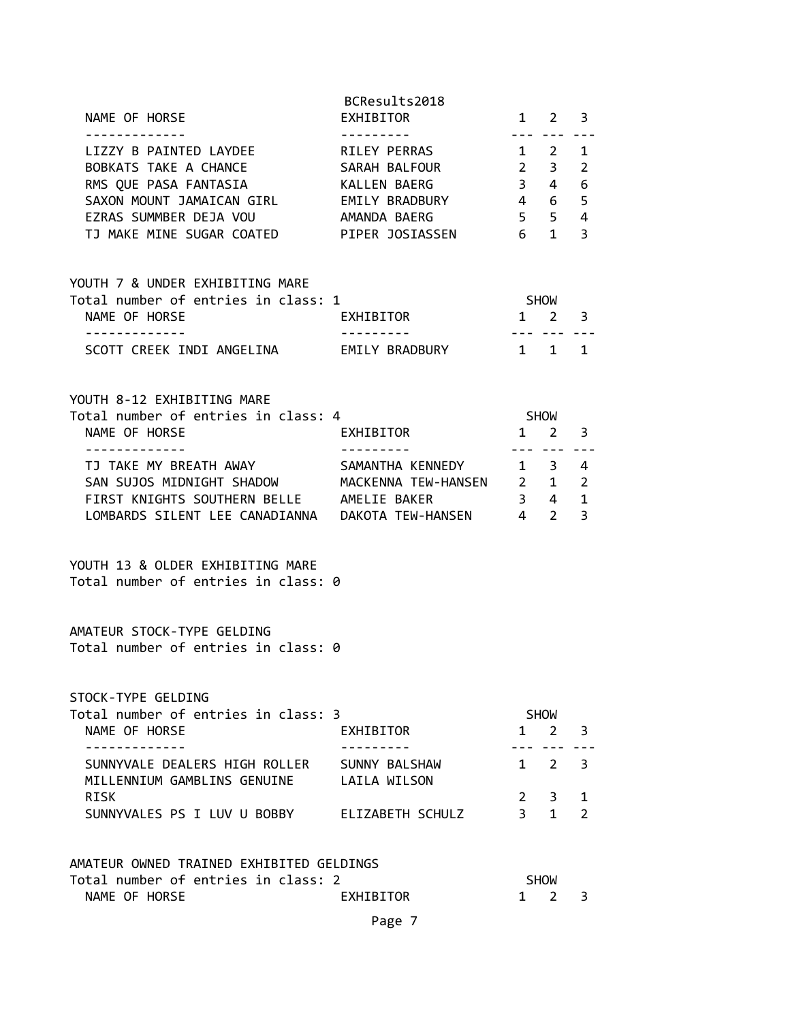| <u>--- --- ---</u><br>----------<br>- - - - - - - - - - - - - -<br>LIZZY B PAINTED LAYDEE RILEY PERRAS 1 2<br>BOBKATS TAKE A CHANCE SARAH BALFOUR 2 3<br>RMS QUE PASA FANTASIA XALLEN BAERG<br>$\overline{3}$ 4<br>SAXON MOUNT JAMAICAN GIRL<br>$4\quad 6$<br>EMILY BRADBURY<br>$5 \quad 5 \quad 4$<br>EZRAS SUMMBER DEJA VOU<br>AMANDA BAERG<br>TJ MAKE MINE SUGAR COATED PIPER JOSIASSEN 6 1<br>YOUTH 7 & UNDER EXHIBITING MARE<br>Total number of entries in class: 1<br><b>SHOW</b><br>EXHIBITOR<br>$1 \quad 2 \quad 3$<br>NAME OF HORSE<br>- - - - - - - - - - - - - -<br>. <u>.</u> .<br>SCOTT CREEK INDI ANGELINA EMILY BRADBURY<br>$1 \quad 1$<br>YOUTH 8-12 EXHIBITING MARE<br>Total number of entries in class: 4<br><b>SHOW</b><br>$1 \quad 2$<br>NAME OF HORSE<br>EXHIBITOR<br><u>--- --- ---</u><br><u>.</u><br>TJ TAKE MY BREATH AWAY<br>SAMANTHA KENNEDY 1 3 4<br>SAN SUJOS MIDNIGHT SHADOW MACKENNA TEW-HANSEN 2 1<br>$3 \quad 4$<br>FIRST KNIGHTS SOUTHERN BELLE AMELIE BAKER<br>YOUTH 13 & OLDER EXHIBITING MARE<br>Total number of entries in class: 0 | 1<br>2<br>6<br>5<br>3<br>1 |
|---------------------------------------------------------------------------------------------------------------------------------------------------------------------------------------------------------------------------------------------------------------------------------------------------------------------------------------------------------------------------------------------------------------------------------------------------------------------------------------------------------------------------------------------------------------------------------------------------------------------------------------------------------------------------------------------------------------------------------------------------------------------------------------------------------------------------------------------------------------------------------------------------------------------------------------------------------------------------------------------------------------------------------------------------------------------------|----------------------------|
|                                                                                                                                                                                                                                                                                                                                                                                                                                                                                                                                                                                                                                                                                                                                                                                                                                                                                                                                                                                                                                                                           |                            |
|                                                                                                                                                                                                                                                                                                                                                                                                                                                                                                                                                                                                                                                                                                                                                                                                                                                                                                                                                                                                                                                                           |                            |
|                                                                                                                                                                                                                                                                                                                                                                                                                                                                                                                                                                                                                                                                                                                                                                                                                                                                                                                                                                                                                                                                           |                            |
|                                                                                                                                                                                                                                                                                                                                                                                                                                                                                                                                                                                                                                                                                                                                                                                                                                                                                                                                                                                                                                                                           | 3                          |
|                                                                                                                                                                                                                                                                                                                                                                                                                                                                                                                                                                                                                                                                                                                                                                                                                                                                                                                                                                                                                                                                           | 2<br>$\mathbf{1}$<br>3     |
|                                                                                                                                                                                                                                                                                                                                                                                                                                                                                                                                                                                                                                                                                                                                                                                                                                                                                                                                                                                                                                                                           |                            |
| AMATEUR STOCK-TYPE GELDING<br>Total number of entries in class: 0                                                                                                                                                                                                                                                                                                                                                                                                                                                                                                                                                                                                                                                                                                                                                                                                                                                                                                                                                                                                         |                            |
| STOCK-TYPE GELDING<br>Total number of entries in class: 3<br><b>SHOW</b><br>NAME OF HORSE<br>EXHIBITOR<br>$\mathbf{1}$<br>2                                                                                                                                                                                                                                                                                                                                                                                                                                                                                                                                                                                                                                                                                                                                                                                                                                                                                                                                               | 3                          |
| ------------<br>SUNNYVALE DEALERS HIGH ROLLER<br>SUNNY BALSHAW<br>1 2<br>MILLENNIUM GAMBLINS GENUINE<br>LAILA WILSON                                                                                                                                                                                                                                                                                                                                                                                                                                                                                                                                                                                                                                                                                                                                                                                                                                                                                                                                                      | 3                          |
| <b>RISK</b><br>$2^{\circ}$<br>$\overline{3}$<br>$3 \quad 1$<br>SUNNYVALES PS I LUV U BOBBY ELIZABETH SCHULZ                                                                                                                                                                                                                                                                                                                                                                                                                                                                                                                                                                                                                                                                                                                                                                                                                                                                                                                                                               | 1<br>$\mathcal{P}$         |
| AMATEUR OWNED TRAINED EXHIBITED GELDINGS<br>Total number of entries in class: 2<br><b>SHOW</b><br>NAME OF HORSE<br>EXHIBITOR<br>$1 \quad 2$<br>Page 7                                                                                                                                                                                                                                                                                                                                                                                                                                                                                                                                                                                                                                                                                                                                                                                                                                                                                                                     | 3                          |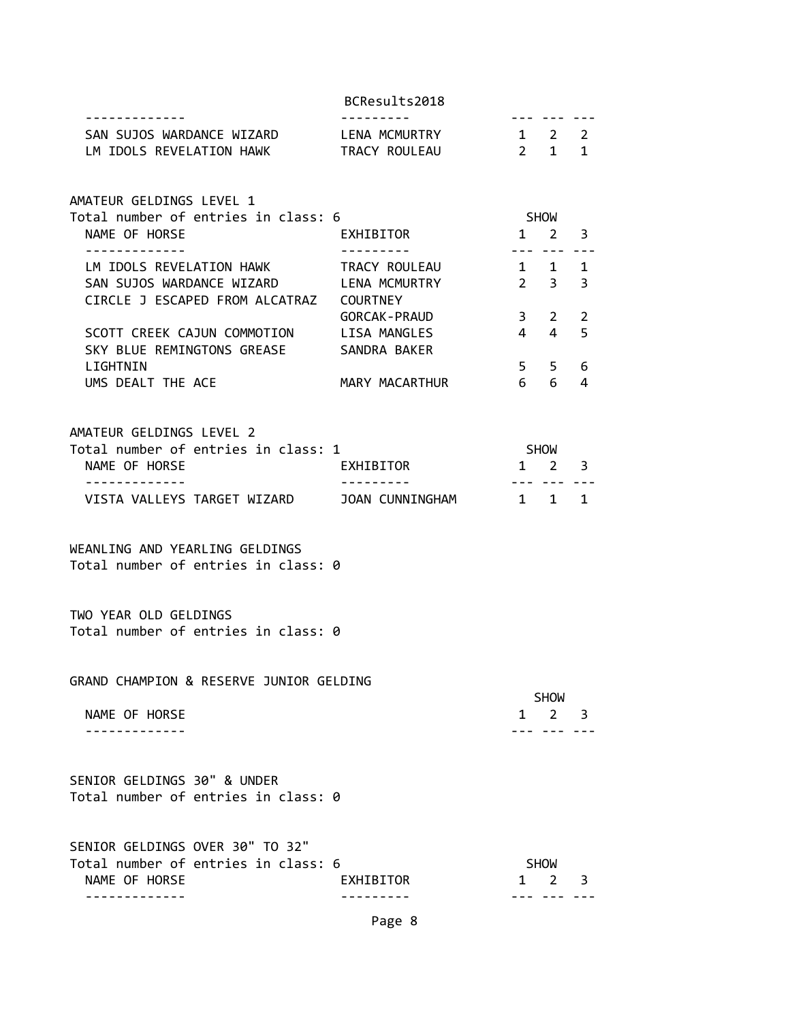| SAN SUJOS WARDANCE WIZARD<br>LM IDOLS REVELATION HAWK TRACY ROULEAU 2 1 1                                                    | LENA MCMURTRY                          | $1 \quad 2 \quad 2$                                            |                     |                |
|------------------------------------------------------------------------------------------------------------------------------|----------------------------------------|----------------------------------------------------------------|---------------------|----------------|
| AMATEUR GELDINGS LEVEL 1<br>Total number of entries in class: 6                                                              |                                        | <b>SHOW</b>                                                    |                     |                |
| NAME OF HORSE                                                                                                                | EXHIBITOR<br><u> - - - - - - - - -</u> | $1 \quad 2 \quad 3$                                            |                     |                |
| LM IDOLS REVELATION HAWK TRACY ROULEAU<br>SAN SUJOS WARDANCE WIZARD LENA MCMURTRY<br>CIRCLE J ESCAPED FROM ALCATRAZ COURTNEY |                                        | . <b>.</b> . <b>.</b><br>$1 \quad 1 \quad 1$<br>2 <sup>2</sup> |                     | 3              |
| SCOTT CREEK CAJUN COMMOTION LISA MANGLES 4 4 4<br>SKY BLUE REMINGTONS GREASE SANDRA BAKER                                    | GORCAK-PRAUD 3 2                       |                                                                |                     | 2<br>5         |
| LIGHTNIN<br>UMS DEALT THE ACE THE MARY MACARTHUR 6 6                                                                         |                                        |                                                                | $5 \quad 5 \quad 6$ | $\overline{4}$ |
| AMATEUR GELDINGS LEVEL 2<br>Total number of entries in class: 1                                                              |                                        | <b>SHOW</b>                                                    |                     |                |
| NAME OF HORSE<br>-------------                                                                                               | EXHIBITOR                              | $1 \quad 2 \quad 3$<br>. <b>.</b> . <b>.</b>                   |                     |                |
|                                                                                                                              |                                        |                                                                |                     |                |
| WEANLING AND YEARLING GELDINGS<br>Total number of entries in class: 0                                                        |                                        |                                                                |                     |                |
| TWO YEAR OLD GELDINGS<br>Total number of entries in class: 0                                                                 |                                        |                                                                |                     |                |
| GRAND CHAMPION & RESERVE JUNIOR GELDING                                                                                      |                                        |                                                                | <b>SHOW</b>         |                |
| NAME OF HORSE                                                                                                                |                                        |                                                                | $1 \quad 2$         | 3              |
| SENIOR GELDINGS 30" & UNDER<br>Total number of entries in class: 0                                                           |                                        |                                                                |                     |                |
| SENIOR GELDINGS OVER 30" TO 32"<br>Total number of entries in class: 6<br>NAME OF HORSE                                      | EXHIBITOR                              | 1                                                              | <b>SHOW</b><br>2    | 3              |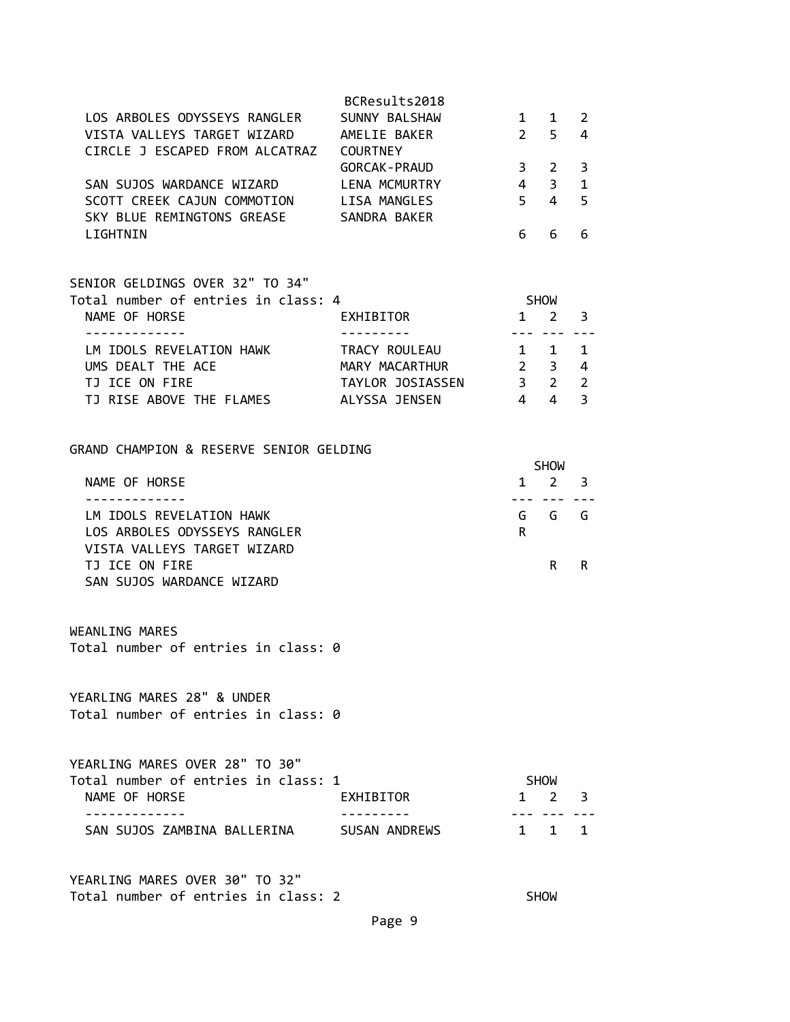|                                | BCResults2018         |               |              |   |
|--------------------------------|-----------------------|---------------|--------------|---|
| LOS ARBOLES ODYSSEYS RANGLER   | SUNNY BALSHAW         |               | $\mathbf{1}$ |   |
| VISTA VALLEYS TARGET WIZARD    | AMELIE BAKER          | $\mathcal{P}$ | 5            | 4 |
| CIRCLE J ESCAPED FROM ALCATRAZ | <b>COURTNEY</b>       |               |              |   |
|                                | <b>GORCAK - PRAUD</b> | 3             | 2            |   |
| SAN SUJOS WARDANCE WIZARD      | LENA MCMURTRY         | 4             | 3            |   |
| SCOTT CREEK CAJUN COMMOTION    | LISA MANGLES          | 5             | 4            |   |
| SKY BLUE REMINGTONS GREASE     | SANDRA BAKER          |               |              |   |
| I TGHTNTN                      |                       |               |              |   |

| SENIOR GELDINGS OVER 32" TO 34"     |                  |                |                      |                          |
|-------------------------------------|------------------|----------------|----------------------|--------------------------|
| Total number of entries in class: 4 |                  |                | <b>SHOW</b>          |                          |
| NAME OF HORSE                       | EXHIBITOR        | 1              | $\mathcal{P} \equiv$ | - 3                      |
|                                     |                  |                |                      |                          |
| LM IDOLS REVELATION HAWK            | TRACY ROULEAU    |                | $1 \quad 1$          |                          |
| UMS DEALT THE ACE                   | MARY MACARTHUR   | 2 <sup>3</sup> |                      | -4                       |
| TJ ICE ON FIRE                      | TAYLOR JOSIASSEN | 3              |                      | $\overline{\phantom{a}}$ |
| TJ RISE ABOVE THE FLAMES            | ALYSSA JENSEN    |                |                      |                          |

GRAND CHAMPION & RESERVE SENIOR GELDING

|                              | <b>SHOW</b>         |   |
|------------------------------|---------------------|---|
| NAME OF HORSE                | $1 \quad 2 \quad 3$ |   |
|                              |                     |   |
| LM IDOLS REVELATION HAWK     | GGGG                |   |
| LOS ARBOLES ODYSSEYS RANGLER | R                   |   |
| VISTA VALLEYS TARGET WIZARD  |                     |   |
| TJ ICE ON FIRE               | R —                 | R |
| SAN SUJOS WARDANCE WIZARD    |                     |   |

WEANLING MARES

Total number of entries in class: 0

YEARLING MARES 28" & UNDER Total number of entries in class: 0

| YEARLING MARES OVER 28" TO 30"      |               |                     |  |
|-------------------------------------|---------------|---------------------|--|
| Total number of entries in class: 1 |               | <b>SHOW</b>         |  |
| NAME OF HORSE                       | EXHIBITOR     | $1 \quad 2 \quad 3$ |  |
|                                     |               |                     |  |
| SAN SUJOS ZAMBINA BALLERINA         | SUSAN ANDREWS | 1 1 1               |  |

YEARLING MARES OVER 30" TO 32" Total number of entries in class: 2 SHOW

Page 9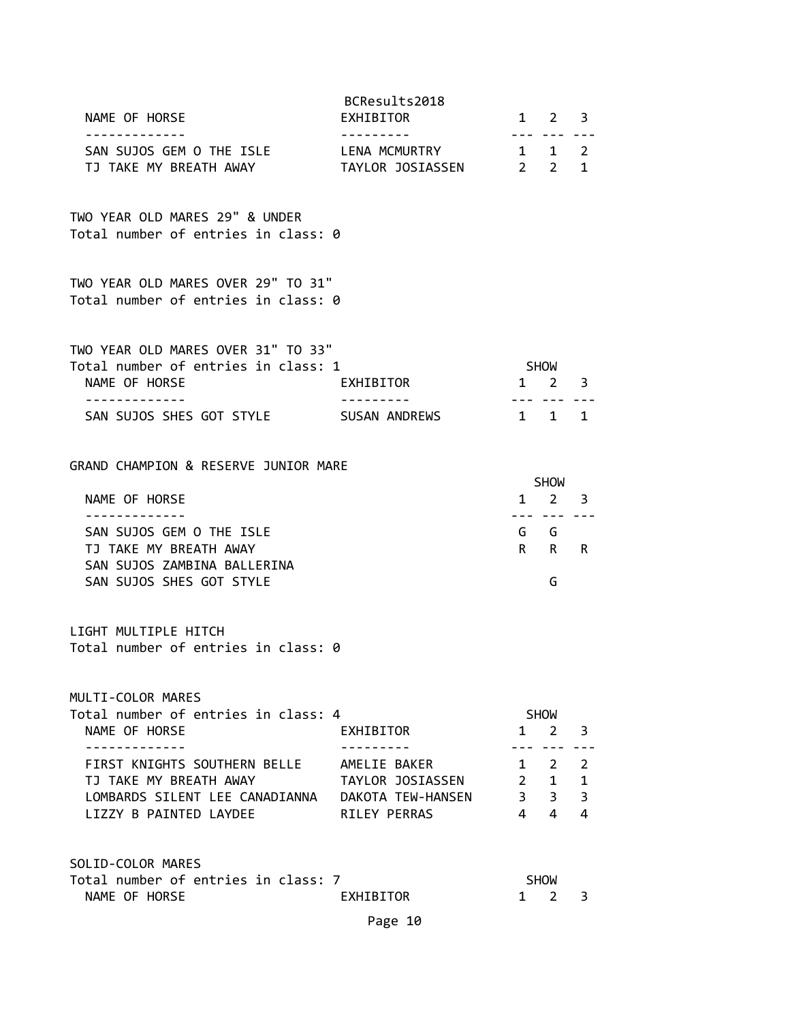| NAME OF HORSE                                                                                                                                                                                                                                | BCResults2018<br>EXHIBITOR                          |                     | $1 \quad 2 \quad 3$<br><u>--- --- ---</u>                           |   |
|----------------------------------------------------------------------------------------------------------------------------------------------------------------------------------------------------------------------------------------------|-----------------------------------------------------|---------------------|---------------------------------------------------------------------|---|
| SAN SUJOS GEM O THE ISLE LENA MCMURTRY<br>TJ TAKE MY BREATH AWAY TAYLOR JOSIASSEN 2 2 1                                                                                                                                                      |                                                     |                     | $1 \quad 1 \quad 2$                                                 |   |
| TWO YEAR OLD MARES 29" & UNDER<br>Total number of entries in class: 0                                                                                                                                                                        |                                                     |                     |                                                                     |   |
| TWO YEAR OLD MARES OVER 29" TO 31"<br>Total number of entries in class: 0                                                                                                                                                                    |                                                     |                     |                                                                     |   |
| TWO YEAR OLD MARES OVER 31" TO 33"<br>Total number of entries in class: 1<br>NAME OF HORSE<br>- - - - - - - - - - - - -<br>SAN SUJOS SHES GOT STYLE SUSAN ANDREWS                                                                            | EXHIBITOR                                           | $1 \quad 2 \quad 3$ | SHOW<br>--- --- ---<br>$1 \quad 1 \quad 1$                          |   |
| GRAND CHAMPION & RESERVE JUNIOR MARE<br>NAME OF HORSE                                                                                                                                                                                        |                                                     |                     | SHOW<br>$1 \quad 2 \quad 3$                                         |   |
| SAN SUJOS GEM O THE ISLE<br>TJ TAKE MY BREATH AWAY<br>SAN SUJOS ZAMBINA BALLERINA<br>SAN SUJOS SHES GOT STYLE                                                                                                                                |                                                     |                     | 222 222 222<br>G G<br>R R R<br>G                                    |   |
| LIGHT MULTIPLE HITCH<br>Total number of entries in class: 0                                                                                                                                                                                  |                                                     |                     |                                                                     |   |
| MULTI-COLOR MARES<br>Total number of entries in class: 4<br>NAME OF HORSE<br>.<br>FIRST KNIGHTS SOUTHERN BELLE AMELIE BAKER<br>TJ TAKE MY BREATH AWAY<br>LOMBARDS SILENT LEE CANADIANNA  DAKOTA TEW-HANSEN 3 3 3 3<br>LIZZY B PAINTED LAYDEE | EXHIBITOR<br>TAYLOR JOSIASSEN 2 1 1<br>RILEY PERRAS |                     | SHOW<br>$1 \quad 2 \quad 3$<br>$1 \qquad 2 \qquad 2$<br>$4 \quad 4$ | 4 |
| SOLID-COLOR MARES<br>Total number of entries in class: 7<br>NAME OF HORSE                                                                                                                                                                    | EXHIBITOR<br>Page 10                                |                     | SHOW<br>1 2                                                         | 3 |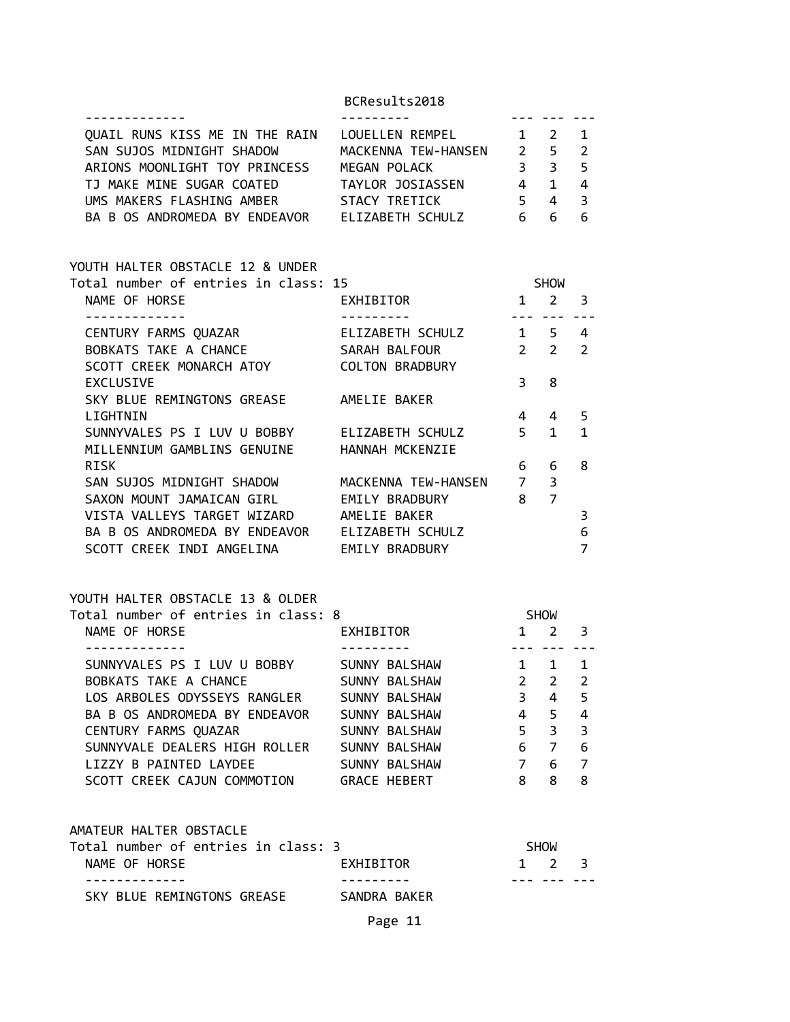| QUAIL RUNS KISS ME IN THE RAIN LOUELLEN REMPEL 1 2 1                                                                                                                            |                                  |                       |                |                         |
|---------------------------------------------------------------------------------------------------------------------------------------------------------------------------------|----------------------------------|-----------------------|----------------|-------------------------|
| SAN SUJOS MIDNIGHT SHADOW MACKENNA TEW-HANSEN 2 5 2                                                                                                                             |                                  |                       |                |                         |
| ARIONS MOONLIGHT TOY PRINCESS MEGAN POLACK 3 3 5                                                                                                                                |                                  |                       |                |                         |
|                                                                                                                                                                                 |                                  |                       |                |                         |
| TJ MAKE MINE SUGAR COATED<br>UMS MAKERS FLASHING AMBER<br>UMS MAKERS FLASHING AMBER<br>STACY TRETICK 543<br>UMS MAKERS FLASHING AMBER<br>PA B OS AUDROUTES EN THE STACY TRETICK |                                  |                       |                |                         |
| BA B OS ANDROMEDA BY ENDEAVOR ELIZABETH SCHULZ 6 6                                                                                                                              |                                  |                       |                | 6                       |
|                                                                                                                                                                                 |                                  |                       |                |                         |
| YOUTH HALTER OBSTACLE 12 & UNDER                                                                                                                                                |                                  |                       |                |                         |
| Total number of entries in class: 15                                                                                                                                            |                                  | <b>SHOW</b>           |                |                         |
| NAME OF HORSE                                                                                                                                                                   | EXHIBITOR                        | $1 \quad 2 \quad 3$   |                |                         |
| .<br>CENTURY FARMS QUAZAR                                                                                                                                                       |                                  | . <b>.</b> . <b>.</b> |                |                         |
|                                                                                                                                                                                 | ELIZABETH SCHULZ 1 5 4           |                       |                |                         |
| BOBKATS TAKE A CHANCE SARAH BALFOUR                                                                                                                                             |                                  | $2\quad 2\quad 2$     |                |                         |
| SCOTT CREEK MONARCH ATOY COLTON BRADBURY                                                                                                                                        |                                  |                       |                |                         |
| <b>EXCLUSIVE</b>                                                                                                                                                                |                                  | 3 <sup>7</sup>        | 8              |                         |
| SKY BLUE REMINGTONS GREASE AMELIE BAKER                                                                                                                                         |                                  |                       |                |                         |
| LIGHTNIN                                                                                                                                                                        |                                  | $4 \quad$             | $\overline{4}$ | 5                       |
| SUNNYVALES PS I LUV U BOBBY ELIZABETH SCHULZ                                                                                                                                    |                                  |                       | $5 \quad 1$    | $\mathbf{1}$            |
| MILLENNIUM GAMBLINS GENUINE HANNAH MCKENZIE                                                                                                                                     |                                  |                       |                |                         |
| RISK                                                                                                                                                                            |                                  | 6                     | 6              | 8                       |
| SAN SUJOS MIDNIGHT SHADOW MACKENNA TEW-HANSEN 7 3                                                                                                                               |                                  |                       |                |                         |
| SAXON MOUNT JAMAICAN GIRL EMILY BRADBURY 8 7                                                                                                                                    |                                  |                       |                |                         |
| VISTA VALLEYS TARGET WIZARD AMELIE BAKER                                                                                                                                        |                                  |                       |                | 3                       |
| BA B OS ANDROMEDA BY ENDEAVOR ELIZABETH SCHULZ                                                                                                                                  |                                  |                       |                | 6                       |
| SCOTT CREEK INDI ANGELINA EMILY BRADBURY                                                                                                                                        |                                  |                       |                | $\overline{7}$          |
| YOUTH HALTER OBSTACLE 13 & OLDER                                                                                                                                                |                                  |                       |                |                         |
| Total number of entries in class: 8                                                                                                                                             |                                  | <b>SHOW</b>           |                |                         |
| NAME OF HORSE<br><u>____________</u>                                                                                                                                            | EXHIBITOR<br>$1 \quad 2 \quad 3$ |                       |                |                         |
|                                                                                                                                                                                 |                                  | $1 \quad 1 \quad 1$   |                |                         |
| SUNNYVALES PS I LUV U BOBBY SUNNY BALSHAW<br>BOBKATS TAKE A CHANCE SUNNY BALSHAW                                                                                                | SUNNY BALSHAW                    | $2\overline{2}$       |                | $\overline{2}$          |
|                                                                                                                                                                                 |                                  |                       |                |                         |
| LOS ARBOLES ODYSSEYS RANGLER<br>BA B OS ANDROMEDA BY ENDEAVOR                                                                                                                   | SUNNY BALSHAW                    | 3<br>4                | 4              | 5                       |
|                                                                                                                                                                                 | SUNNY BALSHAW                    |                       | 5              | $\overline{\mathbf{4}}$ |
| CENTURY FARMS QUAZAR                                                                                                                                                            | SUNNY BALSHAW                    | 5 <sup>7</sup>        | 3              | 3                       |
| SUNNYVALE DEALERS HIGH ROLLER                                                                                                                                                   | SUNNY BALSHAW                    | 6                     | $7^{\circ}$    | $\boldsymbol{6}$        |
| LIZZY B PAINTED LAYDEE                                                                                                                                                          | SUNNY BALSHAW                    | $7^{\circ}$           | 6              | $\overline{7}$          |
| SCOTT CREEK CAJUN COMMOTION                                                                                                                                                     | <b>GRACE HEBERT</b>              | 8                     | 8              | 8                       |
| AMATEUR HALTER OBSTACLE                                                                                                                                                         |                                  |                       |                |                         |
| Total number of entries in class: 3                                                                                                                                             |                                  |                       | SHOW           |                         |
| NAME OF HORSE                                                                                                                                                                   | EXHIBITOR                        | 1                     | $2 \quad$      | 3                       |
| ----------<br>SKY BLUE REMINGTONS GREASE                                                                                                                                        | SANDRA BAKER                     |                       | --- --- ---    |                         |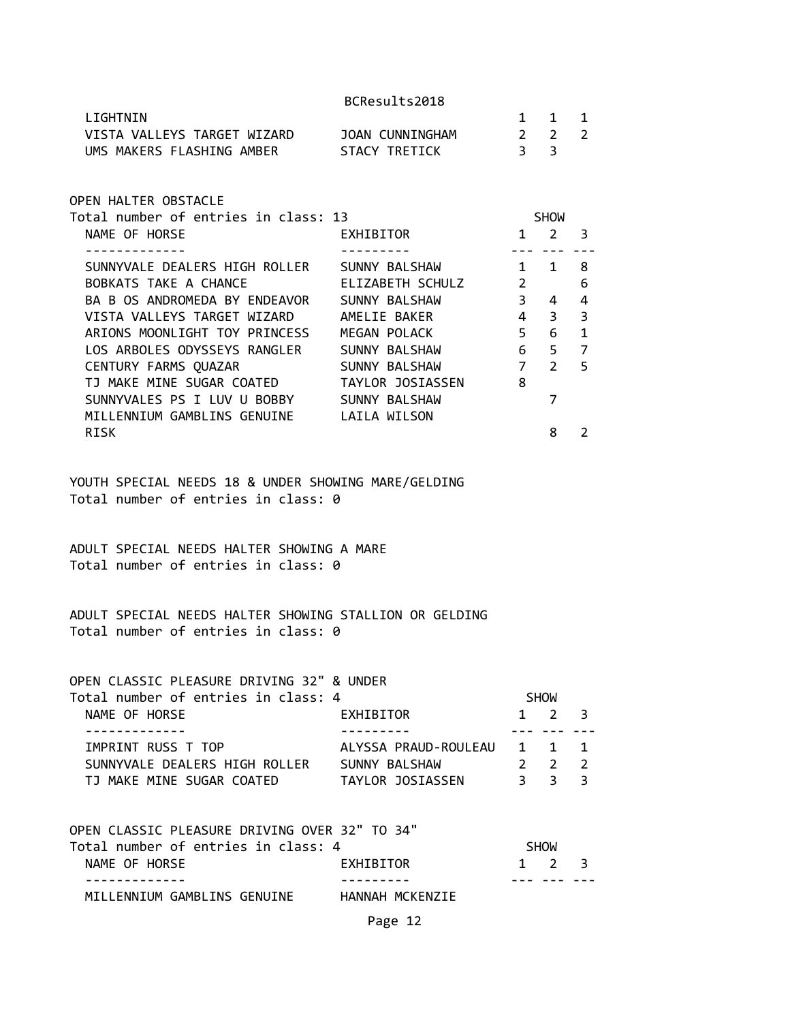| LIGHTNIN                    |                 |    | 1 1 1 |  |
|-----------------------------|-----------------|----|-------|--|
| VISTA VALLEYS TARGET WIZARD | JOAN CUNNINGHAM |    | 2 2 2 |  |
| UMS MAKERS FLASHING AMBER   | STACY TRETICK   | 33 |       |  |

OPEN HALTER OBSTACLE

| EXHIBITOR        |   | 2                                                    | 3           |
|------------------|---|------------------------------------------------------|-------------|
|                  |   |                                                      |             |
| SUNNY BALSHAW    |   | 1                                                    | 8           |
| ELIZABETH SCHULZ |   |                                                      | 6           |
| SUNNY BALSHAW    | 3 | 4                                                    | 4           |
| AMELIE BAKER     |   | 3                                                    | 3           |
| MEGAN POLACK     |   | 6                                                    | 1           |
| SUNNY BALSHAW    | 6 | 5                                                    | 7           |
| SUNNY BALSHAW    |   | $\mathcal{P}$                                        | 5           |
| TAYLOR JOSIASSEN |   |                                                      |             |
| SUNNY BALSHAW    |   |                                                      |             |
| LAILA WILSON     |   |                                                      |             |
|                  |   | 8                                                    | 2           |
|                  |   | 1<br>$\overline{2}$<br>4<br>5<br>7 <sup>7</sup><br>8 | <b>SHOW</b> |

YOUTH SPECIAL NEEDS 18 & UNDER SHOWING MARE/GELDING Total number of entries in class: 0

ADULT SPECIAL NEEDS HALTER SHOWING A MARE Total number of entries in class: 0

ADULT SPECIAL NEEDS HALTER SHOWING STALLION OR GELDING Total number of entries in class: 0

OPEN CLASSIC PLEASURE DRIVING 32" & UNDER

| Total number of entries in class: 4 |                      |       | <b>SHOW</b>         |  |
|-------------------------------------|----------------------|-------|---------------------|--|
| NAME OF HORSE                       | EXHIBITOR            |       | $1 \t2 \t3$         |  |
|                                     |                      |       |                     |  |
| IMPRINT RUSS T TOP                  | ALYSSA PRAUD-ROULEAU | 1 1 1 |                     |  |
| SUNNYVALE DEALERS HIGH ROLLER       | SUNNY BALSHAW        |       | $2 \quad 2 \quad 2$ |  |
| TJ MAKE MINE SUGAR COATED           | TAYLOR JOSIASSEN     |       | २ २ २               |  |

| OPEN CLASSIC PLEASURE DRIVING OVER 32" TO 34" |                 |                     |  |
|-----------------------------------------------|-----------------|---------------------|--|
| Total number of entries in class: 4           |                 | <b>SHOW</b>         |  |
| NAME OF HORSE                                 | EXHIBITOR       | $1 \quad 2 \quad 3$ |  |
|                                               |                 |                     |  |
| MILLENNIUM GAMBLINS GENUINE                   | HANNAH MCKENZIE |                     |  |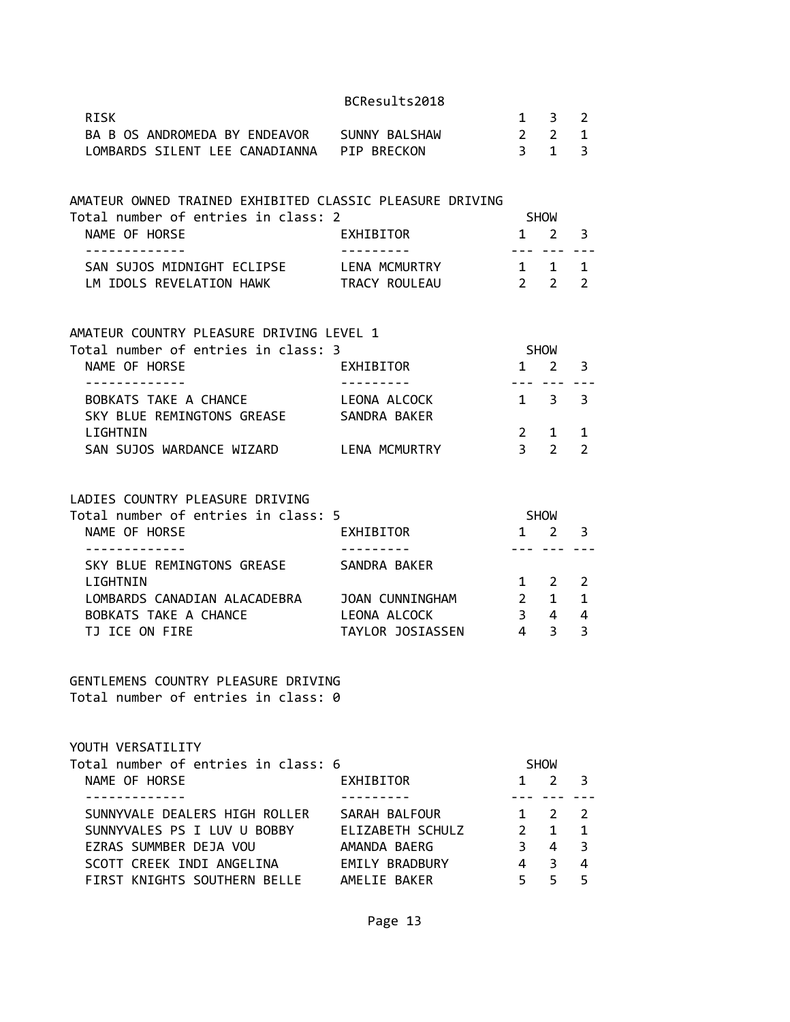| BCResults2018 |  |  |  |
|---------------|--|--|--|
|---------------|--|--|--|

|                                                                                                 | BCResults2018    |                |                                                 |                |
|-------------------------------------------------------------------------------------------------|------------------|----------------|-------------------------------------------------|----------------|
| <b>RISK</b>                                                                                     |                  |                | $1 \quad 3$                                     | 2              |
| BA B OS ANDROMEDA BY ENDEAVOR SUNNY BALSHAW                                                     | $2\quad 2$       |                |                                                 | $\mathbf{1}$   |
| LOMBARDS SILENT LEE CANADIANNA PIP BRECKON                                                      |                  |                | $\overline{3}$ 1                                | $\overline{3}$ |
|                                                                                                 |                  |                |                                                 |                |
| AMATEUR OWNED TRAINED EXHIBITED CLASSIC PLEASURE DRIVING<br>Total number of entries in class: 2 |                  | SHOW           |                                                 |                |
| NAME OF HORSE                                                                                   | EXHIBITOR        |                | $1 \quad 2 \quad 3$                             |                |
| -------------                                                                                   | ---------        |                |                                                 |                |
| SAN SUJOS MIDNIGHT ECLIPSE LENA MCMURTRY 1 1 1                                                  |                  |                |                                                 |                |
| LM IDOLS REVELATION HAWK TRACY ROULEAU                                                          | $2\quad 2$       |                |                                                 | $\overline{2}$ |
|                                                                                                 |                  |                |                                                 |                |
| AMATEUR COUNTRY PLEASURE DRIVING LEVEL 1                                                        |                  |                |                                                 |                |
| Total number of entries in class: 3                                                             |                  | <b>SHOW</b>    |                                                 |                |
| NAME OF HORSE                                                                                   | EXHIBITOR        |                | $1 \quad 2$                                     | 3              |
| -------------                                                                                   | ----------       |                | $1 \quad 3 \quad 3$                             |                |
| BOBKATS TAKE A CHANCE LEONA ALCOCK<br>SKY BLUE REMINGTONS GREASE SANDRA BAKER                   |                  |                |                                                 |                |
| LIGHTNIN                                                                                        |                  | $2^{\circ}$    | $\mathbf{1}$                                    | 1              |
| SAN SUJOS WARDANCE WIZARD LENA MCMURTRY                                                         |                  | 3 <sup>7</sup> | $\overline{2}$                                  | $\overline{2}$ |
|                                                                                                 |                  |                |                                                 |                |
| LADIES COUNTRY PLEASURE DRIVING                                                                 |                  |                |                                                 |                |
| Total number of entries in class: 5                                                             |                  | SHOW           |                                                 |                |
| NAME OF HORSE                                                                                   | EXHIBITOR        |                | $1 \quad 2 \quad 3$                             |                |
| -------------                                                                                   | ----------       |                | --- --- ---                                     |                |
| SKY BLUE REMINGTONS GREASE                                                                      | SANDRA BAKER     |                |                                                 |                |
| LIGHTNIN                                                                                        |                  |                | 1 2                                             | 2              |
| LOMBARDS CANADIAN ALACADEBRA                                                                    | JOAN CUNNINGHAM  |                | $\begin{array}{ccc} 2 & 1 \\ 3 & 4 \end{array}$ | $\mathbf{1}$   |
| BOBKATS TAKE A CHANCE                                                                           | LEONA ALCOCK     |                |                                                 | 4              |
| TJ ICE ON FIRE                                                                                  | TAYLOR JOSIASSEN |                | $4 \quad 3$                                     | $\overline{3}$ |
| GENTLEMENS COUNTRY PLEASURE DRIVING                                                             |                  |                |                                                 |                |
| Total number of entries in class: 0                                                             |                  |                |                                                 |                |

YOUTH VERSATILITY

| Total number of entries in class: 6 |                       |              | <b>SHOW</b>         |                         |  |
|-------------------------------------|-----------------------|--------------|---------------------|-------------------------|--|
| NAME OF HORSE                       | EXHIBITOR             | $\mathbf{1}$ | $2 \overline{3}$    |                         |  |
|                                     |                       |              |                     |                         |  |
| SUNNYVALE DEALERS HIGH ROLLER       | SARAH BALFOUR         |              | $1 \quad 2 \quad 2$ |                         |  |
| SUNNYVALES PS I LUV U BOBBY         | ELIZABETH SCHULZ      |              | $\mathbf{1}$        | $\blacksquare$          |  |
| EZRAS SUMMBER DEJA VOU              | AMANDA BAERG          |              | 4                   | $\overline{\mathbf{3}}$ |  |
| SCOTT CREEK INDI ANGELINA           | <b>EMILY BRADBURY</b> | 4            | 3                   | -4                      |  |
| FIRST KNIGHTS SOUTHERN BELLE        | AMELIE BAKER          |              |                     |                         |  |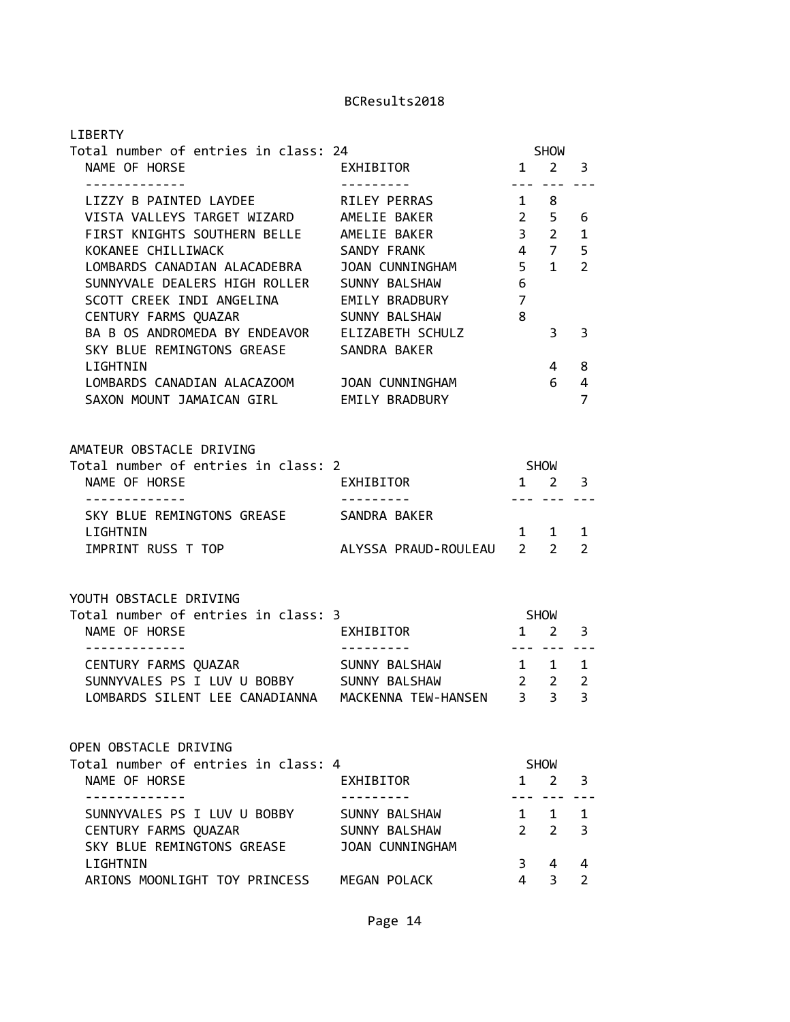| <b>LIBERTY</b>                                                                                                                                                                                                                      |                                                                                                     |                                                                                                                                                                                                                                                                                                                                                                                                                                                                                                   |                             |                                     |
|-------------------------------------------------------------------------------------------------------------------------------------------------------------------------------------------------------------------------------------|-----------------------------------------------------------------------------------------------------|---------------------------------------------------------------------------------------------------------------------------------------------------------------------------------------------------------------------------------------------------------------------------------------------------------------------------------------------------------------------------------------------------------------------------------------------------------------------------------------------------|-----------------------------|-------------------------------------|
| Total number of entries in class: 24<br>NAME OF HORSE<br>-------------                                                                                                                                                              | EXHIBITOR<br><u> - - - - - - - - -</u>                                                              | $1 \quad 2 \quad 3$<br>$\frac{1}{2} \left( \frac{1}{2} \right) \left( \frac{1}{2} \right) \left( \frac{1}{2} \right) \left( \frac{1}{2} \right) \left( \frac{1}{2} \right) \left( \frac{1}{2} \right) \left( \frac{1}{2} \right) \left( \frac{1}{2} \right) \left( \frac{1}{2} \right) \left( \frac{1}{2} \right) \left( \frac{1}{2} \right) \left( \frac{1}{2} \right) \left( \frac{1}{2} \right) \left( \frac{1}{2} \right) \left( \frac{1}{2} \right) \left( \frac{1}{2} \right) \left( \frac$ | <b>SHOW</b>                 |                                     |
| LIZZY B PAINTED LAYDEE<br>VISTA VALLEYS TARGET WIZARD AMELIE BAKER<br>FIRST KNIGHTS SOUTHERN BELLE AMELIE BAKER<br>KOKANEE CHILLIWACK<br>LOMBARDS CANADIAN ALACADEBRA<br>SUNNYVALE DEALERS HIGH ROLLER<br>SCOTT CREEK INDI ANGELINA | RILEY PERRAS<br>SANDY FRANK<br>$\overline{5}$<br>JOAN CUNNINGHAM<br>SUNNY BALSHAW<br>EMILY BRADBURY | $1 \quad 8$<br>$2 \quad 5 \quad 6$<br>4 7<br>6<br>$\overline{7}$                                                                                                                                                                                                                                                                                                                                                                                                                                  | 3 <sub>2</sub><br>$1 \quad$ | $\mathbf{1}$<br>5<br>$\overline{2}$ |
| CENTURY FARMS QUAZAR<br>BA B OS ANDROMEDA BY ENDEAVOR ELIZABETH SCHULZ<br>SKY BLUE REMINGTONS GREASE                                                                                                                                | SUNNY BALSHAW<br>SANDRA BAKER                                                                       | 8                                                                                                                                                                                                                                                                                                                                                                                                                                                                                                 | 3                           | 3                                   |
| LIGHTNIN<br>LOMBARDS CANADIAN ALACAZOOM<br>SAXON MOUNT JAMAICAN GIRL EMILY BRADBURY                                                                                                                                                 | JOAN CUNNINGHAM                                                                                     |                                                                                                                                                                                                                                                                                                                                                                                                                                                                                                   | $\overline{4}$<br>6         | 8<br>4<br>$\overline{7}$            |
| AMATEUR OBSTACLE DRIVING<br>Total number of entries in class: 2<br>NAME OF HORSE                                                                                                                                                    | EXHIBITOR                                                                                           | SHOW<br>$1 \quad 2$                                                                                                                                                                                                                                                                                                                                                                                                                                                                               |                             | 3                                   |
| -------------<br>SKY BLUE REMINGTONS GREASE SANDRA BAKER                                                                                                                                                                            |                                                                                                     |                                                                                                                                                                                                                                                                                                                                                                                                                                                                                                   | --- --- ---                 |                                     |
| LIGHTNIN<br>IMPRINT RUSS T TOP                                                                                                                                                                                                      | ALYSSA PRAUD-ROULEAU 2 2                                                                            |                                                                                                                                                                                                                                                                                                                                                                                                                                                                                                   | 1 1                         | $\mathbf{1}$<br>$\mathcal{P}$       |
| YOUTH OBSTACLE DRIVING                                                                                                                                                                                                              |                                                                                                     |                                                                                                                                                                                                                                                                                                                                                                                                                                                                                                   |                             |                                     |
| Total number of entries in class: 3<br>NAME OF HORSE<br>.                                                                                                                                                                           | EXHIBITOR<br>$1 \quad 2$<br>----------                                                              | <b>SHOW</b>                                                                                                                                                                                                                                                                                                                                                                                                                                                                                       |                             | 3                                   |
| CENTURY FARMS QUAZAR<br>SUNNYVALES PS I LUV U BOBBY SUNNY BALSHAW 2 2<br>LOMBARDS SILENT LEE CANADIANNA                                                                                                                             | SUNNY BALSHAW<br>MACKENNA TEW-HANSEN                                                                | 3 <sup>7</sup>                                                                                                                                                                                                                                                                                                                                                                                                                                                                                    | . <b>.</b><br>1 1<br>3      | $\mathbf{1}$<br>$\overline{2}$<br>3 |
| OPEN OBSTACLE DRIVING                                                                                                                                                                                                               |                                                                                                     |                                                                                                                                                                                                                                                                                                                                                                                                                                                                                                   |                             |                                     |
| Total number of entries in class: 4<br>NAME OF HORSE                                                                                                                                                                                | EXHIBITOR                                                                                           |                                                                                                                                                                                                                                                                                                                                                                                                                                                                                                   | <b>SHOW</b><br>$1 \quad 2$  | 3                                   |
| SUNNYVALES PS I LUV U BOBBY<br>CENTURY FARMS QUAZAR<br>SKY BLUE REMINGTONS GREASE                                                                                                                                                   | SUNNY BALSHAW<br>SUNNY BALSHAW<br><b>JOAN CUNNINGHAM</b>                                            |                                                                                                                                                                                                                                                                                                                                                                                                                                                                                                   | 1 1<br>2 <sub>2</sub>       | 1<br>3                              |
| LIGHTNIN<br>ARIONS MOONLIGHT TOY PRINCESS MEGAN POLACK                                                                                                                                                                              |                                                                                                     | 3<br>$\overline{4}$                                                                                                                                                                                                                                                                                                                                                                                                                                                                               | 4<br>$\overline{3}$         | 4<br>$\overline{2}$                 |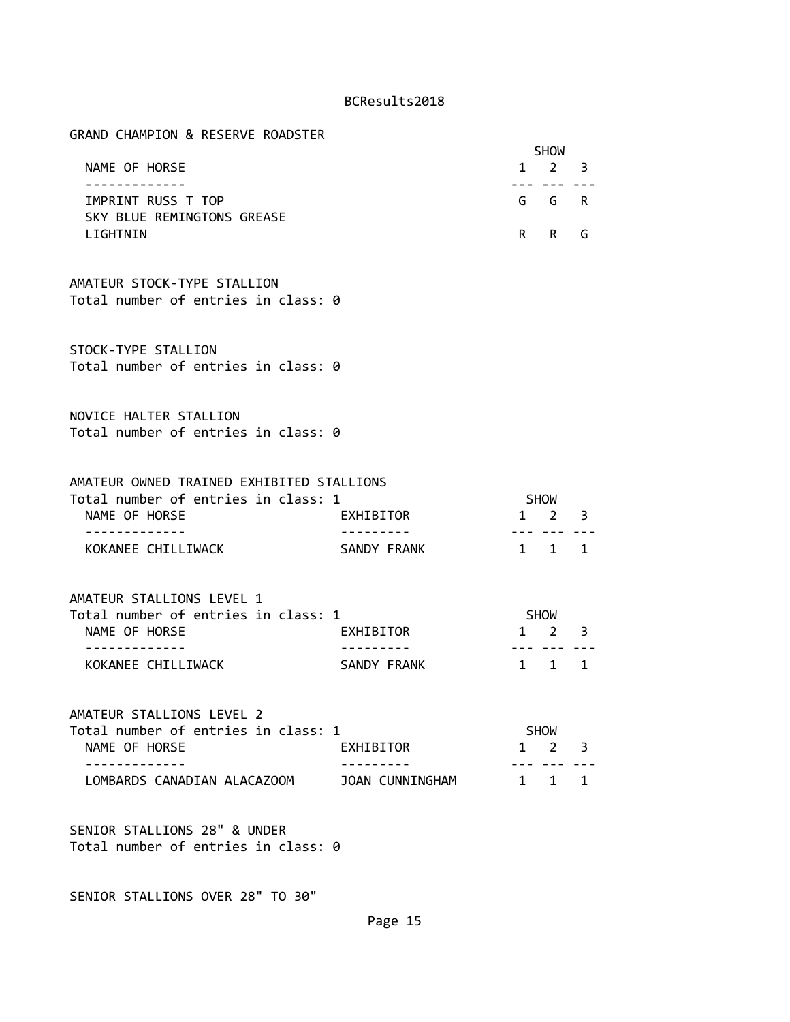GRAND CHAMPION & RESERVE ROADSTER

|                            | <b>SHOW</b> |  |
|----------------------------|-------------|--|
| NAME OF HORSE              | 1 2 3       |  |
|                            |             |  |
| IMPRINT RUSS T TOP         | G G R       |  |
| SKY BLUE REMINGTONS GREASE |             |  |
| I TGHTNIN                  | R R G       |  |

AMATEUR STOCK-TYPE STALLION Total number of entries in class: 0

STOCK-TYPE STALLION Total number of entries in class: 0

NOVICE HALTER STALLION Total number of entries in class: 0

| AMATEUR OWNED TRAINED EXHIBITED STALLIONS |             |                     |  |
|-------------------------------------------|-------------|---------------------|--|
| Total number of entries in class: 1       |             | <b>SHOW</b>         |  |
| NAME OF HORSE                             | EXHIBITOR   | $1 \quad 2 \quad 3$ |  |
|                                           |             |                     |  |
| KOKANEE CHILLIWACK                        | SANDY FRANK | $1 \quad 1 \quad 1$ |  |

AMATEUR STALLIONS LEVEL 1 Total number of entries in class: 1 SHOW NAME OF HORSE **EXHIBITOR** 1 2 3 ------------- --------- --- --- --- KOKANEE CHILLIWACK **SANDY FRANK** 1 1 1

AMATEUR STALLIONS LEVEL 2 Total number of entries in class: 1 SHOW NAME OF HORSE **EXHIBITOR** 1 2 3 ------------- --------- --- --- --- LOMBARDS CANADIAN ALACAZOOM JOAN CUNNINGHAM 1 1 1

SENIOR STALLIONS 28" & UNDER Total number of entries in class: 0

SENIOR STALLIONS OVER 28" TO 30"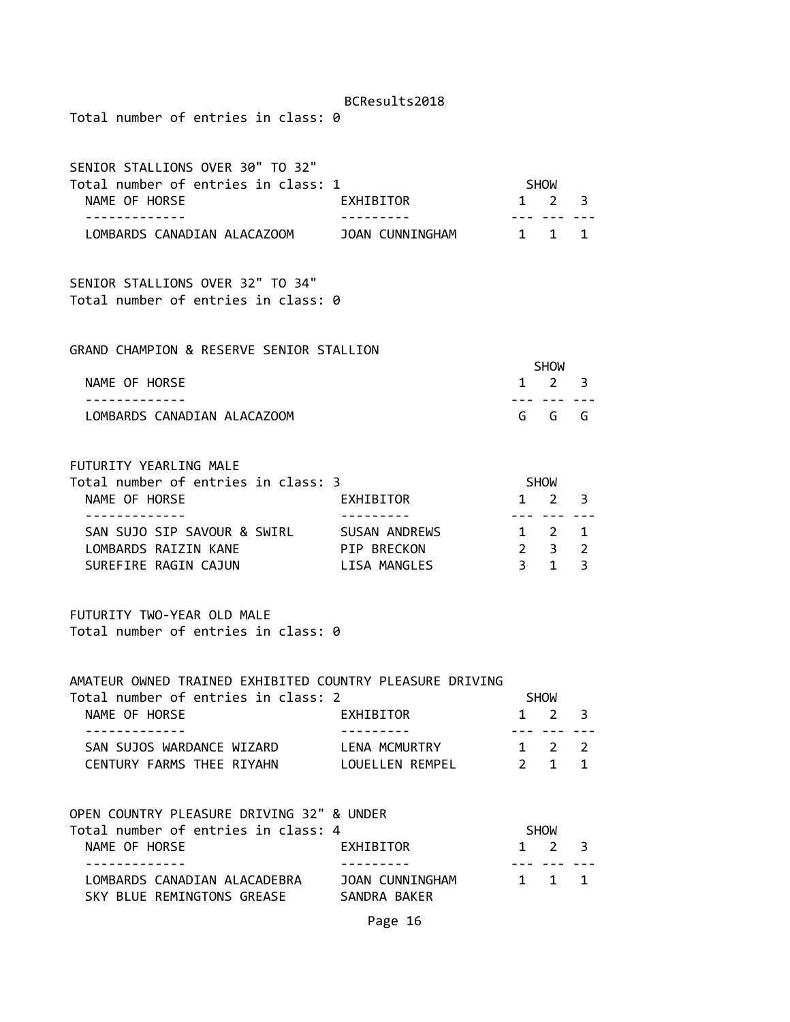Total number of entries in class: 0

| SENIOR STALLIONS OVER 30" TO 32"    |                 |                     |  |
|-------------------------------------|-----------------|---------------------|--|
| Total number of entries in class: 1 |                 | <b>SHOW</b>         |  |
| NAME OF HORSE                       | EXHIBITOR       | $1 \quad 2 \quad 3$ |  |
|                                     |                 |                     |  |
| LOMBARDS CANADIAN ALACAZOOM         | JOAN CUNNINGHAM | 1 1 1               |  |

SENIOR STALLIONS OVER 32" TO 34" Total number of entries in class: 0

GRAND CHAMPION & RESERVE SENIOR STALLION

|                             | <b>SHOW</b> |  |
|-----------------------------|-------------|--|
| NAME OF HORSE               | $1 \t2 \t3$ |  |
|                             |             |  |
| LOMBARDS CANADIAN ALACAZOOM | GGGG        |  |

FUTURITY YEARLING MALE

| Total number of entries in class: 3 |               | <b>SHOW</b>         |  |
|-------------------------------------|---------------|---------------------|--|
| NAME OF HORSE                       | EXHIBITOR     | $1 \quad 2 \quad 3$ |  |
|                                     |               |                     |  |
| SAN SUJO SIP SAVOUR & SWIRL         | SUSAN ANDREWS | 1 2 1               |  |
| LOMBARDS RAIZIN KANE                | PIP BRECKON   | $2 \times 3$        |  |
| SUREFIRE RAGIN CAJUN                | LISA MANGLES  | 1 २                 |  |

FUTURITY TWO-YEAR OLD MALE Total number of entries in class: 0

#### AMATEUR OWNED TRAINED EXHIBITED COUNTRY PLEASURE DRIVING

| Total number of entries in class: 2 |                 | <b>SHOW</b>         |  |
|-------------------------------------|-----------------|---------------------|--|
| NAME OF HORSE                       | EXHIBITOR       | $1 \quad 2 \quad 3$ |  |
|                                     |                 |                     |  |
| SAN SUJOS WARDANCE WIZARD           | LENA MCMURTRY   | 1 2 2               |  |
| CENTURY FARMS THEE RIYAHN           | LOUELLEN REMPEL | 2 1 1               |  |
|                                     |                 |                     |  |

| OPEN COUNTRY PLEASURE DRIVING 32" & UNDER |                 |             |  |
|-------------------------------------------|-----------------|-------------|--|
| Total number of entries in class: 4       |                 | <b>SHOW</b> |  |
| NAME OF HORSE                             | EXHIBITOR       | $1 \t2 \t3$ |  |
|                                           |                 |             |  |
| LOMBARDS CANADIAN ALACADEBRA              | JOAN CUNNINGHAM | 1 1 1       |  |
| SKY BLUE REMINGTONS GREASE                | SANDRA BAKER    |             |  |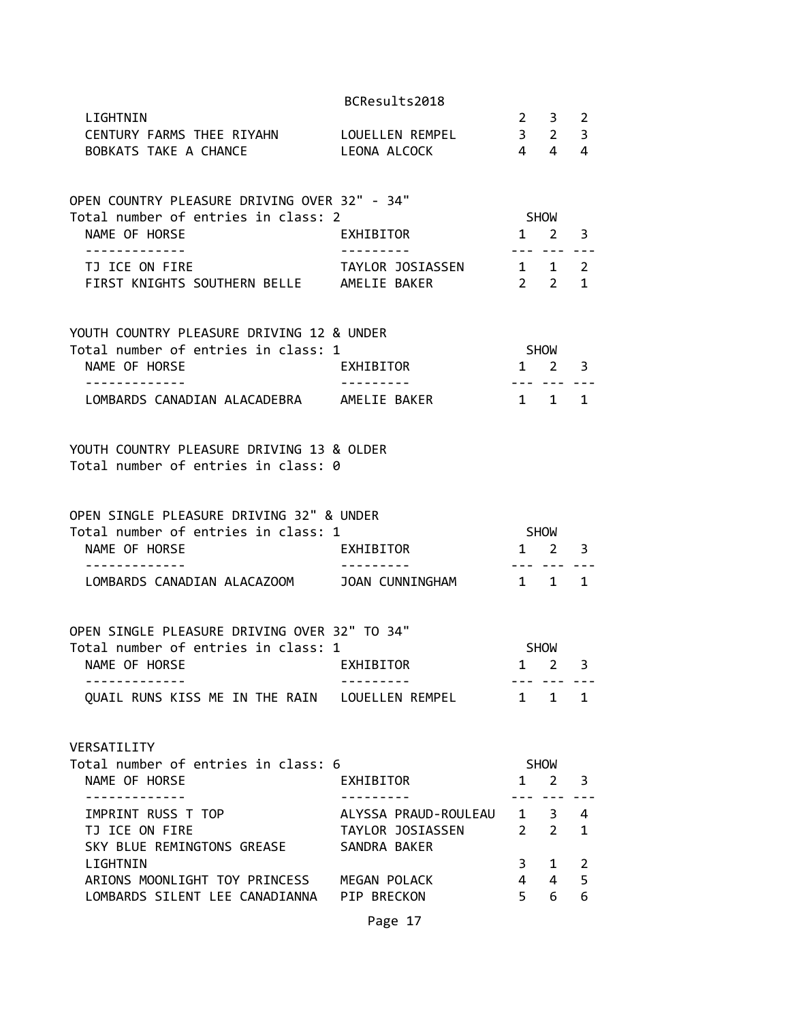|                                                                                                   | BCResults2018                                                    |                                    |                                            |                   |
|---------------------------------------------------------------------------------------------------|------------------------------------------------------------------|------------------------------------|--------------------------------------------|-------------------|
| LIGHTNIN<br>CENTURY FARMS THEE RIYAHN LOUELLEN REMPEL 3 2<br>BOBKATS TAKE A CHANCE                | LEONA ALCOCK                                                     |                                    | $2 \quad 3 \quad 2$<br>$4 \quad 4 \quad 4$ | $\overline{3}$    |
| OPEN COUNTRY PLEASURE DRIVING OVER 32" - 34"<br>Total number of entries in class: 2               |                                                                  |                                    | SHOW                                       |                   |
| NAME OF HORSE<br>. <u>.</u>                                                                       | EXHIBITOR                                                        | $1 \quad 2$                        | <u>--- --- ---</u>                         | 3                 |
| TJ ICE ON FIRE<br>FIRST KNIGHTS SOUTHERN BELLE AMELIE BAKER                                       | TAYLOR JOSIASSEN                                                 | $1 \quad 1 \quad 2$<br>$2 \quad 2$ |                                            | $\mathbf{1}$      |
| YOUTH COUNTRY PLEASURE DRIVING 12 & UNDER<br>Total number of entries in class: 1<br>NAME OF HORSE | EXHIBITOR                                                        | <b>SHOW</b>                        | $1 \quad 2 \quad 3$                        |                   |
| . <u>.</u> .<br>LOMBARDS CANADIAN ALACADEBRA AMELIE BAKER                                         | . <u>.</u>                                                       | 1 1 1                              |                                            |                   |
| YOUTH COUNTRY PLEASURE DRIVING 13 & OLDER<br>Total number of entries in class: 0                  |                                                                  |                                    |                                            |                   |
| OPEN SINGLE PLEASURE DRIVING 32" & UNDER<br>Total number of entries in class: 1                   |                                                                  | SHOW                               |                                            |                   |
| NAME OF HORSE                                                                                     | EXHIBITOR<br>$1 \quad 2 \quad 3$                                 |                                    |                                            |                   |
| -------------<br>LOMBARDS CANADIAN ALACAZOOM JOAN CUNNINGHAM 1 1 1                                | ----------                                                       | ----------                         |                                            |                   |
| OPEN SINGLE PLEASURE DRIVING OVER 32" TO 34"                                                      |                                                                  |                                    |                                            |                   |
| Total number of entries in class: 1<br>NAME OF HORSE<br><b>EXHIBITOR</b>                          |                                                                  |                                    | <b>SHOW</b><br>$1 \quad 2 \quad 3$         |                   |
| QUAIL RUNS KISS ME IN THE RAIN LOUELLEN REMPEL 1 1 1                                              |                                                                  |                                    |                                            |                   |
| VERSATILITY                                                                                       |                                                                  |                                    |                                            |                   |
| Total number of entries in class: 6<br>NAME OF HORSE<br>____________                              | EXHIBITOR<br>- - - - - - - -                                     | $1 \quad$                          | SHOW<br>2<br>--- ---                       | 3                 |
| IMPRINT RUSS T TOP<br>TJ ICE ON FIRE<br>SKY BLUE REMINGTONS GREASE                                | ALYSSA PRAUD-ROULEAU 1 3<br>TAYLOR JOSIASSEN 2 2<br>SANDRA BAKER |                                    |                                            | 4<br>$\mathbf{1}$ |
| LIGHTNIN<br>ARIONS MOONLIGHT TOY PRINCESS MEGAN POLACK                                            |                                                                  | 3 <sup>7</sup><br>4 <sup>1</sup>   | $1 \quad$<br>$\overline{4}$                | 2<br>5            |
| LOMBARDS SILENT LEE CANADIANNA PIP BRECKON                                                        |                                                                  | $5 -$                              | 6                                          | 6                 |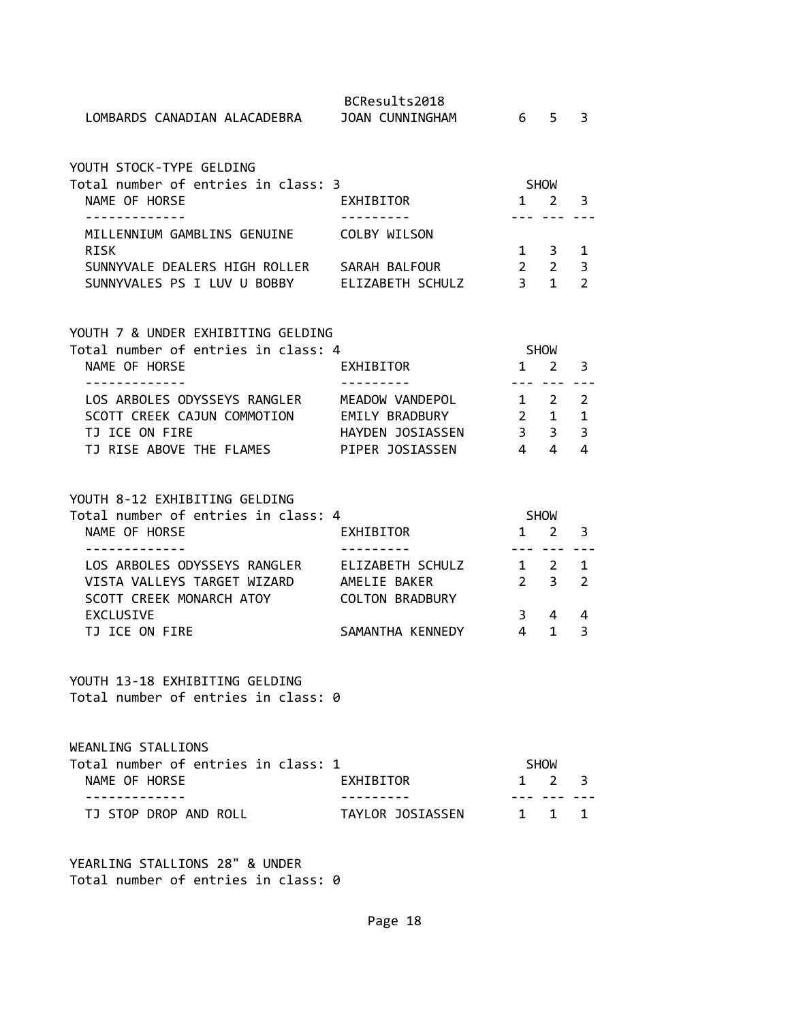| LOMBARDS CANADIAN ALACADEBRA JOAN CUNNINGHAM                                                  | BCResults2018      | 6 5                     |                         | 3                   |
|-----------------------------------------------------------------------------------------------|--------------------|-------------------------|-------------------------|---------------------|
| YOUTH STOCK-TYPE GELDING                                                                      |                    |                         |                         |                     |
| Total number of entries in class: 3                                                           |                    | SHOW                    |                         |                     |
| NAME OF HORSE                                                                                 | EXHIBITOR          | $1 \quad$               | 2                       | 3                   |
| - - - - - - - - - - - -<br>MILLENNIUM GAMBLINS GENUINE COLBY WILSON                           |                    | --- ---                 |                         |                     |
| <b>RISK</b>                                                                                   |                    |                         | $1 \quad 3$             | 1                   |
| SUNNYVALE DEALERS HIGH ROLLER SARAH BALFOUR<br>SUNNYVALES PS I LUV U BOBBY ELIZABETH SCHULZ   |                    | $\overline{\mathbf{3}}$ | $2\quad 2$<br>$1 \quad$ | 3<br>$\overline{2}$ |
|                                                                                               |                    |                         |                         |                     |
|                                                                                               |                    |                         |                         |                     |
| YOUTH 7 & UNDER EXHIBITING GELDING<br>Total number of entries in class: 4                     |                    | <b>SHOW</b>             |                         |                     |
| NAME OF HORSE                                                                                 | EXHIBITOR          |                         | $1 \quad 2$             | 3                   |
| .                                                                                             |                    | $- - -$                 | $- - -$                 |                     |
| LOS ARBOLES ODYSSEYS RANGLER MEADOW VANDEPOL                                                  |                    |                         | $1 \quad 2$             | $\overline{2}$<br>1 |
| SCOTT CREEK CAJUN COMMOTION EMILY BRADBURY<br>TJ ICE ON FIRE                                  | HAYDEN JOSIASSEN 3 |                         | $2 \quad 1$<br>3        | 3                   |
| TJ RISE ABOVE THE FLAMES FIPER JOSIASSEN                                                      |                    | $4 \quad 4$             |                         | 4                   |
|                                                                                               |                    |                         |                         |                     |
| YOUTH 8-12 EXHIBITING GELDING                                                                 |                    |                         |                         |                     |
| Total number of entries in class: 4                                                           |                    |                         | SHOW                    |                     |
| NAME OF HORSE                                                                                 | EXHIBITOR          |                         | $1 \quad 2$             | 3                   |
|                                                                                               |                    | ----                    |                         |                     |
| LOS ARBOLES ODYSSEYS RANGLER     ELIZABETH SCHULZ<br>VISTA VALLEYS TARGET WIZARD AMELIE BAKER |                    |                         | 1 2<br>$2 \quad 3$      | 1<br>2              |
| SCOTT CREEK MONARCH ATOY                                                                      | COLTON BRADBURY    |                         |                         |                     |
| EXCLUSIVE                                                                                     |                    | 3                       | $\overline{4}$          | 4                   |
| TJ ICE ON FIRE                                                                                | SAMANTHA KENNEDY   | $\overline{4}$          | 1                       | 3                   |
| YOUTH 13-18 EXHIBITING GELDING<br>Total number of entries in class: 0                         |                    |                         |                         |                     |
| WEANLING STALLIONS                                                                            |                    |                         |                         |                     |
| Total number of entries in class: 1                                                           |                    |                         | SHOW                    |                     |
| NAME OF HORSE<br>. <u>.</u>                                                                   | EXHIBITOR          | $\mathbf{1}$            | 2                       | 3                   |
| TJ STOP DROP AND ROLL                                                                         | TAYLOR JOSIASSEN   |                         | 1 1                     | 1                   |

Total number of entries in class: 0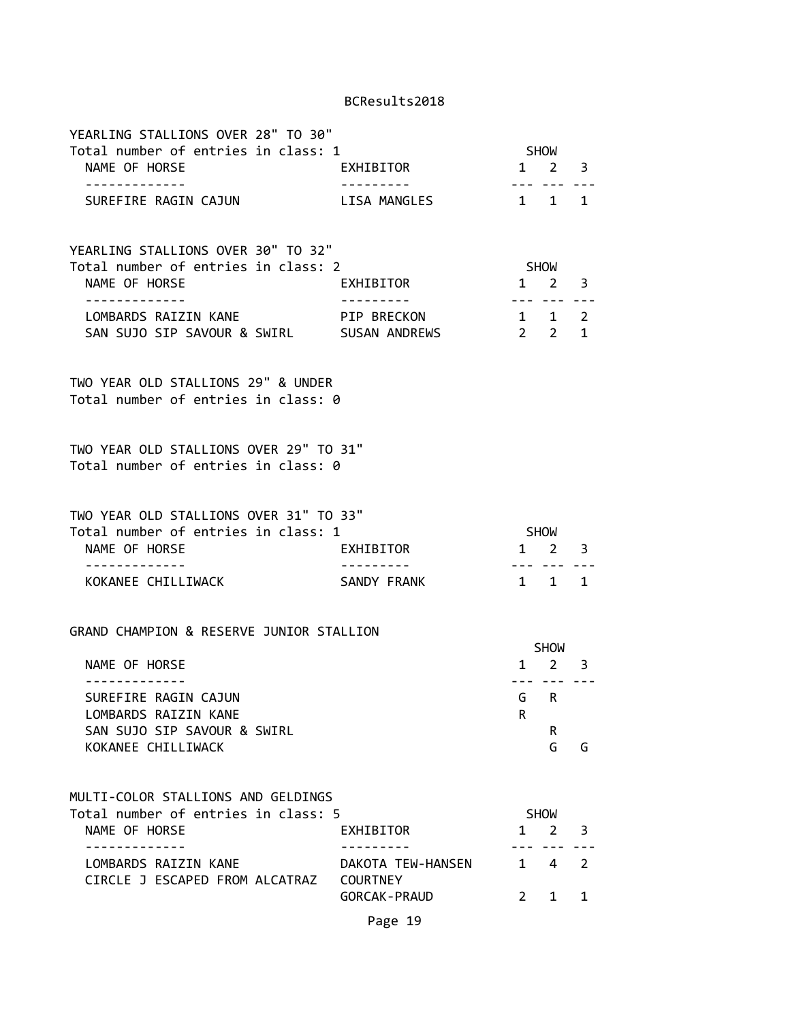| YEARLING STALLIONS OVER 28" TO 30"<br>Total number of entries in class: 1                         |                            |                                    |                            |                |
|---------------------------------------------------------------------------------------------------|----------------------------|------------------------------------|----------------------------|----------------|
| NAME OF HORSE                                                                                     | EXHIBITOR                  | SHOW<br>1 2 3                      |                            |                |
| -------------<br>SUREFIRE RAGIN CAJUN                                                             | ----------<br>LISA MANGLES | 1 1 1                              | --- --- ---                |                |
| YEARLING STALLIONS OVER 30" TO 32"<br>Total number of entries in class: 2                         |                            |                                    | SHOW                       |                |
| NAME OF HORSE<br>. <u>.</u>                                                                       | <b>EXHIBITOR</b>           | $1 \quad 2 \quad 3$                |                            |                |
| LOMBARDS RAIZIN KANE PIP BRECKON<br>SAN SUJO SIP SAVOUR & SWIRL SUSAN ANDREWS                     |                            | $1 \quad 1 \quad 2$<br>$2 \t2 \t1$ | --- --- ---                |                |
| TWO YEAR OLD STALLIONS 29" & UNDER<br>Total number of entries in class: 0                         |                            |                                    |                            |                |
| TWO YEAR OLD STALLIONS OVER 29" TO 31"<br>Total number of entries in class: 0                     |                            |                                    |                            |                |
| TWO YEAR OLD STALLIONS OVER 31" TO 33"<br>Total number of entries in class: 1<br>NAME OF HORSE    | <b>EXHIBITOR</b>           | SHOW<br>$1 \quad 2 \quad 3$        |                            |                |
| ------------<br>KOKANEE CHILLIWACK                                                                | SANDY FRANK                |                                    | 1 1 1                      |                |
| GRAND CHAMPION & RESERVE JUNIOR STALLION                                                          |                            |                                    | SHOW                       |                |
| NAME OF HORSE<br>- - - - - - - - - - - - -                                                        |                            |                                    | $1 \quad 2 \quad 3$<br>.   |                |
| SUREFIRE RAGIN CAJUN<br>LOMBARDS RAIZIN KANE<br>SAN SUJO SIP SAVOUR & SWIRL<br>KOKANEE CHILLIWACK |                            | R.                                 | G R<br>R.<br>G             | G              |
| MULTI-COLOR STALLIONS AND GELDINGS                                                                |                            |                                    |                            |                |
| Total number of entries in class: 5<br>NAME OF HORSE<br>. <u>.</u>                                | EXHIBITOR                  |                                    | <b>SHOW</b><br>$1 \quad 2$ | 3              |
| LOMBARDS RAIZIN KANE<br>CIRCLE J ESCAPED FROM ALCATRAZ COURTNEY                                   | DAKOTA TEW-HANSEN          |                                    | $1 \quad 4$                | $\overline{2}$ |
|                                                                                                   | <b>GORCAK-PRAUD</b>        | $2^{\circ}$                        | 1                          | 1              |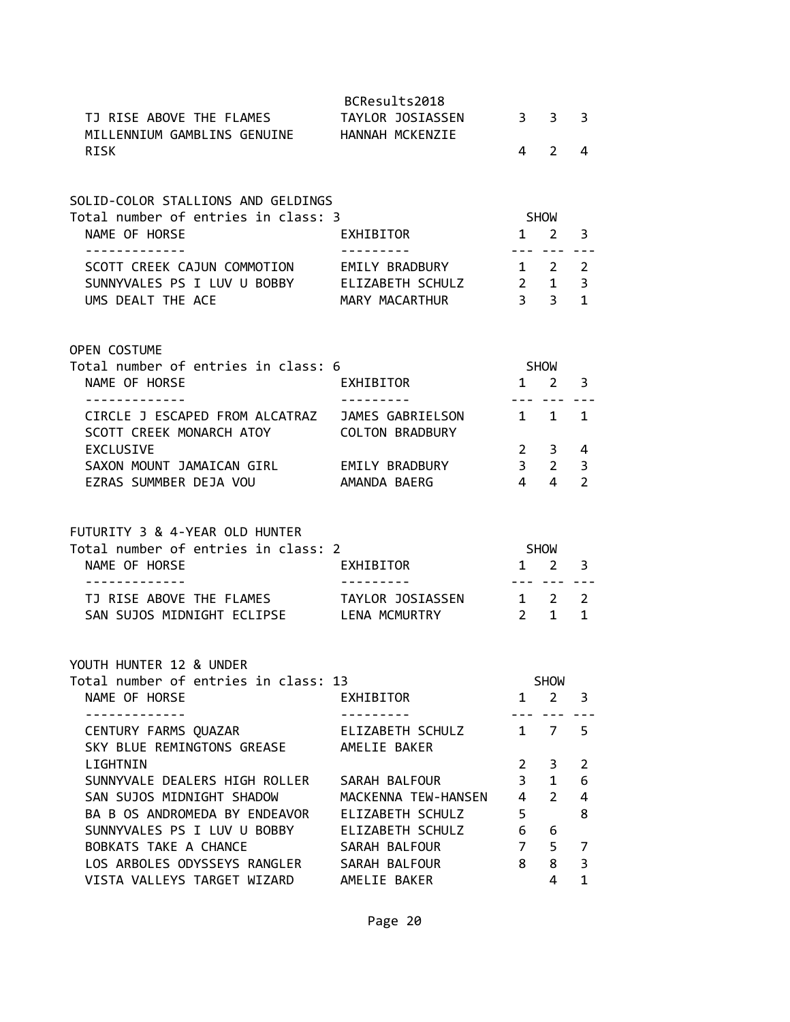|                                                                                                      | BCResults2018                 |                 |                                 |                                       |
|------------------------------------------------------------------------------------------------------|-------------------------------|-----------------|---------------------------------|---------------------------------------|
| TJ RISE ABOVE THE FLAMES                                                                             | TAYLOR JOSIASSEN              | 3 <sup>7</sup>  | 3                               | 3                                     |
| MILLENNIUM GAMBLINS GENUINE HANNAH MCKENZIE                                                          |                               |                 |                                 |                                       |
| <b>RISK</b>                                                                                          |                               | 4               | 2                               | 4                                     |
|                                                                                                      |                               |                 |                                 |                                       |
| SOLID-COLOR STALLIONS AND GELDINGS<br>Total number of entries in class: 3                            |                               |                 | SHOW                            |                                       |
| NAME OF HORSE                                                                                        | EXHIBITOR                     |                 | $1 \quad 2$                     | 3                                     |
| -------------                                                                                        | - - - - - - - - - -           |                 | --- ---                         |                                       |
| SCOTT CREEK CAJUN COMMOTION                                                                          | EMILY BRADBURY                | $\mathbf{1}$    | $2^{\circ}$                     | $\overline{2}$                        |
| SUNNYVALES PS I LUV U BOBBY ELIZABETH SCHULZ<br>UMS DEALT THE ACE                                    | MARY MACARTHUR                |                 | $2 \quad 1$<br>$3 \overline{3}$ | 3<br>$\mathbf{1}$                     |
|                                                                                                      |                               |                 |                                 |                                       |
| <b>OPEN COSTUME</b>                                                                                  |                               |                 |                                 |                                       |
| Total number of entries in class: 6                                                                  |                               |                 | SHOW                            |                                       |
| NAME OF HORSE                                                                                        | EXHIBITOR                     |                 | $1 \quad 2$                     | 3                                     |
| -------------<br>CIRCLE J ESCAPED FROM ALCATRAZ JAMES GABRIELSON                                     | ---------                     | $1 \quad$       | $\mathbf{1}$                    | 1                                     |
| SCOTT CREEK MONARCH ATOY                                                                             | <b>COLTON BRADBURY</b>        |                 |                                 |                                       |
| <b>EXCLUSIVE</b>                                                                                     |                               | $2^{\circ}$     | $3^{\circ}$                     | 4                                     |
| SAXON MOUNT JAMAICAN GIRL EMILY BRADBURY                                                             |                               | 3 <sup>7</sup>  | $\overline{2}$                  | 3                                     |
| EZRAS SUMMBER DEJA VOU                                                                               | AMANDA BAERG                  | $\overline{4}$  | $\overline{4}$                  |                                       |
|                                                                                                      |                               | SHOW            |                                 |                                       |
| FUTURITY 3 & 4-YEAR OLD HUNTER<br>Total number of entries in class: 2<br>NAME OF HORSE<br>. <u>.</u> | EXHIBITOR                     |                 | $1 \quad 2$<br>-------          |                                       |
| TJ RISE ABOVE THE FLAMES                                                                             | TAYLOR JOSIASSEN              |                 | $1 \quad 2$                     | $\overline{2}$<br>3<br>$\overline{2}$ |
| SAN SUJOS MIDNIGHT ECLIPSE LENA MCMURTRY                                                             |                               | $2 \rightarrow$ | 1                               | 1                                     |
|                                                                                                      |                               |                 |                                 |                                       |
| YOUTH HUNTER 12 & UNDER                                                                              |                               |                 |                                 |                                       |
| NAME OF HORSE                                                                                        | EXHIBITOR                     |                 | <b>SHOW</b><br>$1 \quad 2$      |                                       |
| Total number of entries in class: 13                                                                 |                               |                 | --- ---                         | 3                                     |
| CENTURY FARMS QUAZAR                                                                                 | ELIZABETH SCHULZ              | $1 \quad$       | 7                               |                                       |
| SKY BLUE REMINGTONS GREASE<br>LIGHTNIN                                                               | AMELIE BAKER                  | 2               |                                 | 5                                     |
| SUNNYVALE DEALERS HIGH ROLLER                                                                        | SARAH BALFOUR                 | 3               | 3<br>$\mathbf{1}$               |                                       |
| SAN SUJOS MIDNIGHT SHADOW                                                                            | MACKENNA TEW-HANSEN           | $\overline{4}$  | $\overline{2}$                  |                                       |
| BA B OS ANDROMEDA BY ENDEAVOR                                                                        | ELIZABETH SCHULZ              | 5               |                                 |                                       |
| SUNNYVALES PS I LUV U BOBBY                                                                          | ELIZABETH SCHULZ              | 6               | 6                               | $\overline{2}$<br>6<br>4<br>8         |
| BOBKATS TAKE A CHANCE                                                                                | SARAH BALFOUR                 | 7<br>8          | 5                               | 7<br>3                                |
| LOS ARBOLES ODYSSEYS RANGLER<br>VISTA VALLEYS TARGET WIZARD                                          | SARAH BALFOUR<br>AMELIE BAKER |                 | 8<br>4                          |                                       |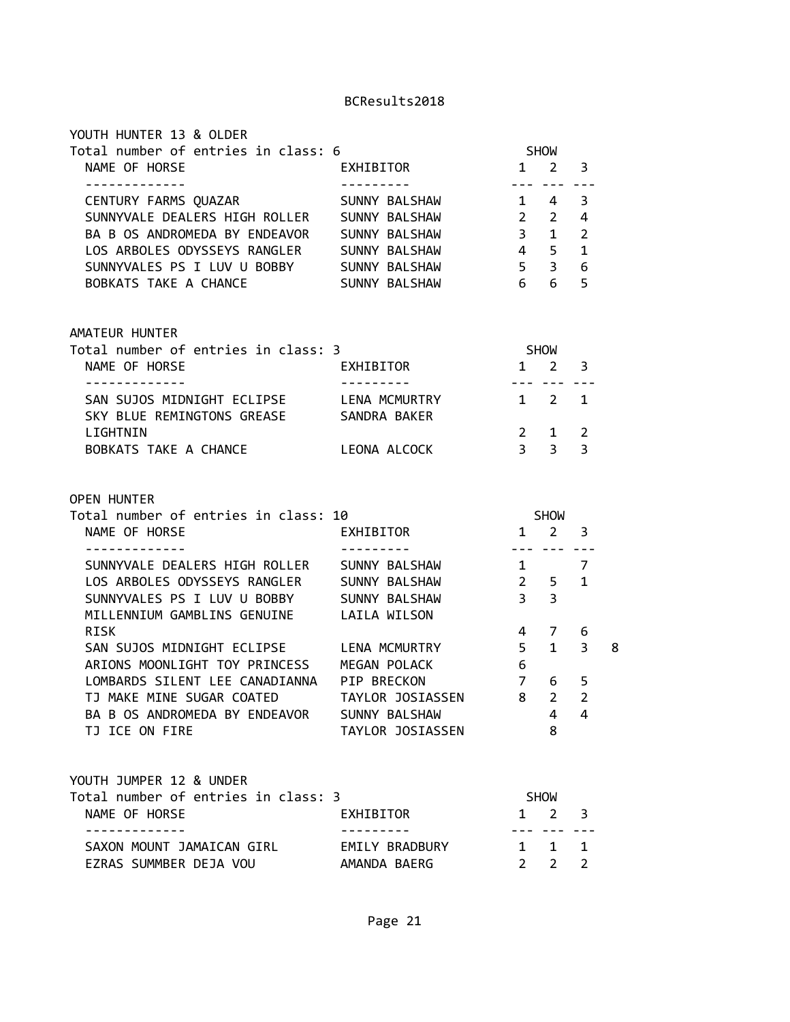| YOUTH HUNTER 13 & OLDER<br>Total number of entries in class: 6                      |                                |                     |                                                            |                |   |
|-------------------------------------------------------------------------------------|--------------------------------|---------------------|------------------------------------------------------------|----------------|---|
| NAME OF HORSE<br>-------------                                                      | EXHIBITOR<br>----------        |                     | SHOW<br>$1 \quad 2 \quad 3$<br>--- --- ---                 |                |   |
| CENTURY FARMS QUAZAR                                                                | SUNNY BALSHAW                  |                     | $1 \quad 4 \quad 3$                                        |                |   |
| SUNNYVALE DEALERS HIGH ROLLER SUNNY BALSHAW                                         |                                | $2 \t2 \t4$         |                                                            |                |   |
| BA B OS ANDROMEDA BY ENDEAVOR SUNNY BALSHAW                                         |                                |                     | $3 \quad 1 \quad 2$                                        |                |   |
| LOS ARBOLES ODYSSEYS RANGLER SUNNY BALSHAW                                          |                                | $4 \quad 5 \quad 1$ |                                                            |                |   |
| SUNNYVALES PS I LUV U BOBBY                                                         | SUNNY BALSHAW                  |                     | $5 \quad 3$                                                | 6              |   |
| BOBKATS TAKE A CHANCE                                                               | SUNNY BALSHAW                  | $6\quad 6$          |                                                            | 5              |   |
| AMATEUR HUNTER                                                                      |                                |                     |                                                            |                |   |
| Total number of entries in class: 3                                                 |                                | <b>SHOW</b>         |                                                            |                |   |
| NAME OF HORSE<br>-------------                                                      | EXHIBITOR<br>----------        | $1 \quad 2 \quad 3$ | <u>--- --- ---</u>                                         |                |   |
| SAN SUJOS MIDNIGHT ECLIPSE LENA MCMURTRY<br>SKY BLUE REMINGTONS GREASE SANDRA BAKER |                                | $1 \quad 2 \quad 1$ |                                                            |                |   |
| LIGHTNIN                                                                            |                                |                     | $2 \quad 1$                                                | 2              |   |
|                                                                                     |                                |                     | $3 \overline{3}$                                           | $\overline{3}$ |   |
| BOBKATS TAKE A CHANCE LEONA ALCOCK                                                  |                                |                     | SHOW                                                       |                |   |
| <b>OPEN HUNTER</b><br>Total number of entries in class: 10<br>NAME OF HORSE         | EXHIBITOR                      |                     | $1 \quad 2 \quad 3$<br><u>222 222 222</u>                  |                |   |
| SUNNYVALE DEALERS HIGH ROLLER SUNNY BALSHAW                                         |                                | $\sim$ 1            |                                                            | 7              |   |
| LOS ARBOLES ODYSSEYS RANGLER SUNNY BALSHAW                                          |                                |                     | $2 \quad 5$                                                | 1              |   |
| SUNNYVALES PS I LUV U BOBBY SUNNY BALSHAW                                           |                                | 3 <sup>3</sup>      |                                                            |                |   |
| MILLENNIUM GAMBLINS GENUINE LAILA WILSON                                            |                                |                     |                                                            |                |   |
| RISK                                                                                |                                |                     | 4 7 6                                                      |                |   |
| SAN SUJOS MIDNIGHT ECLIPSE LENA MCMURTRY                                            |                                |                     | $5 \quad 1 \quad 3$                                        |                |   |
| ARIONS MOONLIGHT TOY PRINCESS MEGAN POLACK                                          |                                | 6                   |                                                            |                |   |
| LOMBARDS SILENT LEE CANADIANNA PIP BRECKON                                          |                                |                     | 7 6                                                        | 5              |   |
| TJ MAKE MINE SUGAR COATED TAYLOR JOSIASSEN                                          |                                |                     | 8 2 2                                                      |                |   |
|                                                                                     |                                |                     |                                                            |                |   |
|                                                                                     |                                |                     |                                                            |                |   |
|                                                                                     |                                |                     |                                                            |                |   |
| BA B OS ANDROMEDA BY ENDEAVOR SUNNY BALSHAW                                         |                                |                     | 4<br>8                                                     | 4              |   |
| TJ ICE ON FIRE                                                                      | TAYLOR JOSIASSEN               |                     |                                                            |                |   |
| YOUTH JUMPER 12 & UNDER                                                             |                                |                     |                                                            |                |   |
| Total number of entries in class: 3                                                 |                                |                     | SHOW                                                       |                |   |
| NAME OF HORSE                                                                       | EXHIBITOR                      | $\mathbf{1}$        | $2 \quad$                                                  | 3              | 8 |
| - - - - - - - - - - -<br>SAXON MOUNT JAMAICAN GIRL<br>EZRAS SUMMBER DEJA VOU        | EMILY BRADBURY<br>AMANDA BAERG |                     | . <b>. .</b><br>$1 \quad 1 \quad 1$<br>$2 \quad 2 \quad 2$ |                |   |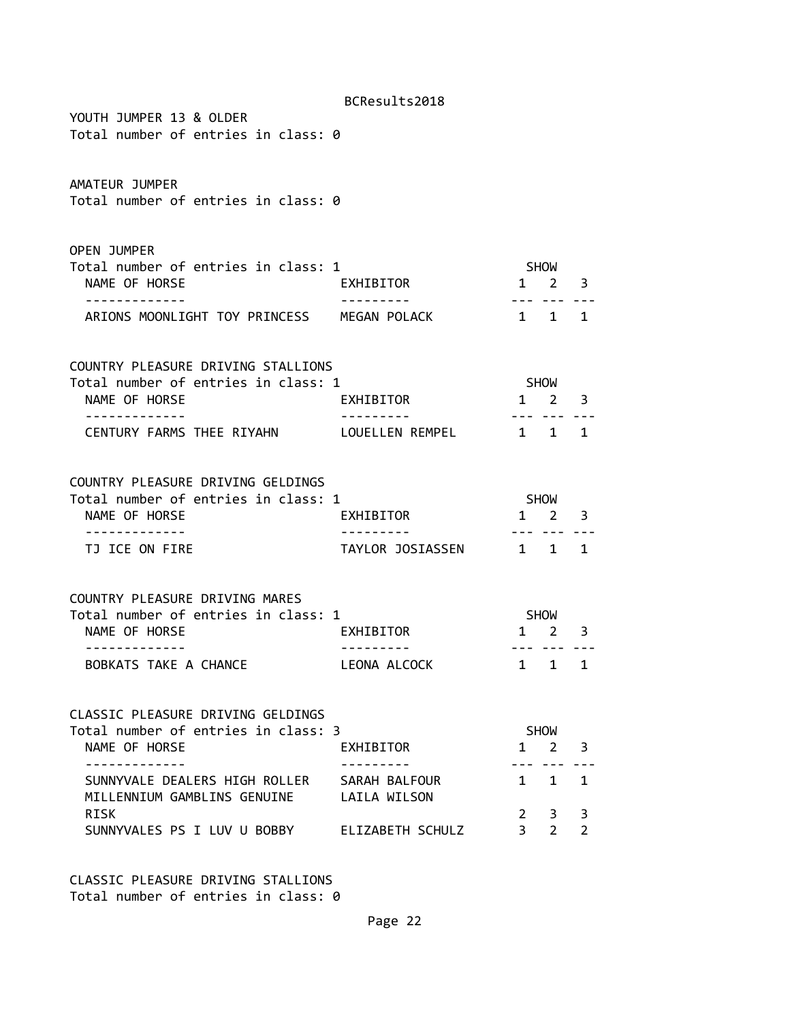| YOUTH JUMPER 13 & OLDER                                                    | BCResults2018                 |                               |                             |                     |
|----------------------------------------------------------------------------|-------------------------------|-------------------------------|-----------------------------|---------------------|
| Total number of entries in class: 0                                        |                               |                               |                             |                     |
| AMATEUR JUMPER<br>Total number of entries in class: 0                      |                               |                               |                             |                     |
| <b>OPEN JUMPER</b><br>Total number of entries in class: 1<br>NAME OF HORSE | EXHIBITOR                     |                               | SHOW<br>$1 \quad 2 \quad 3$ |                     |
| ARIONS MOONLIGHT TOY PRINCESS MEGAN POLACK                                 |                               | 1 1 1                         |                             |                     |
| COUNTRY PLEASURE DRIVING STALLIONS<br>Total number of entries in class: 1  |                               |                               | SHOW                        |                     |
| NAME OF HORSE                                                              | EXHIBITOR                     | $1 \quad 2$                   |                             | 3                   |
| - - - - - - - - - - - -<br>CENTURY FARMS THEE RIYAHN LOUELLEN REMPEL 1 1   |                               |                               |                             | 1                   |
|                                                                            |                               |                               |                             |                     |
| COUNTRY PLEASURE DRIVING GELDINGS                                          |                               |                               |                             |                     |
| Total number of entries in class: 1                                        |                               |                               | SHOW                        |                     |
| NAME OF HORSE                                                              | EXHIBITOR                     |                               | $1\quad 2$                  | 3                   |
| TJ ICE ON FIRE                                                             | TAYLOR JOSIASSEN 1 1 1        |                               |                             |                     |
| COUNTRY PLEASURE DRIVING MARES                                             |                               |                               |                             |                     |
| Total number of entries in class: 1<br>NAME OF HORSE<br>. <u>.</u>         | EXHIBITOR                     | $1 \quad 2$                   | SHOW<br>--- ---             | 3                   |
| BOBKATS TAKE A CHANCE                                                      | LEONA ALCOCK                  |                               | 1 1 1                       |                     |
| CLASSIC PLEASURE DRIVING GELDINGS                                          |                               |                               |                             |                     |
| Total number of entries in class: 3<br>NAME OF HORSE<br>-----------        | EXHIBITOR                     |                               | <b>SHOW</b><br>$1 \quad 2$  | 3                   |
| SUNNYVALE DEALERS HIGH ROLLER<br>MILLENNIUM GAMBLINS GENUINE               | SARAH BALFOUR<br>LAILA WILSON | 1                             | 1                           | 1                   |
| RISK<br>SUNNYVALES PS I LUV U BOBBY ELIZABETH SCHULZ                       |                               | $2^{\circ}$<br>3 <sup>7</sup> | 3<br>$\overline{2}$         | 3<br>$\overline{2}$ |

CLASSIC PLEASURE DRIVING STALLIONS Total number of entries in class: 0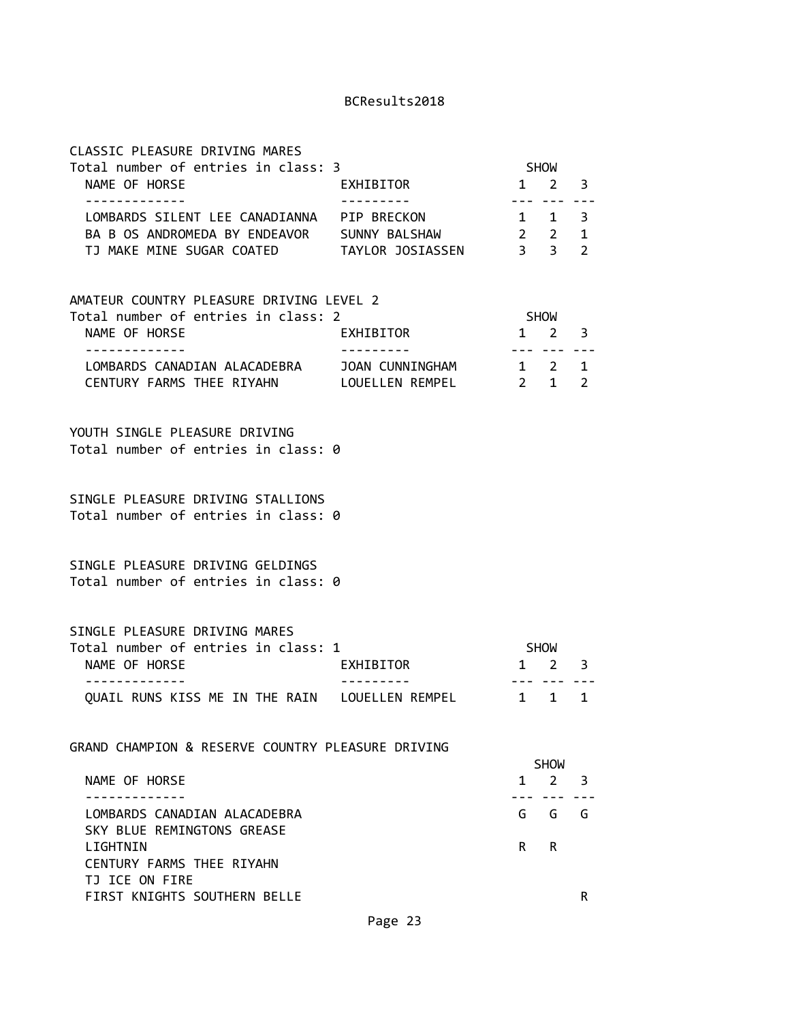| CLASSIC PLEASURE DRIVING MARES<br>Total number of entries in class: 3                                                                                                        |           |              | SHOW                        |                                     |
|------------------------------------------------------------------------------------------------------------------------------------------------------------------------------|-----------|--------------|-----------------------------|-------------------------------------|
| NAME OF HORSE                                                                                                                                                                | EXHIBITOR |              | $1 \quad 2 \quad 3$         |                                     |
| - - - - - - - - - - - - -<br>LOMBARDS SILENT LEE CANADIANNA PIP BRECKON<br>BA B OS ANDROMEDA BY ENDEAVOR SUNNY BALSHAW 2 2<br>TJ MAKE MINE SUGAR COATED TAYLOR JOSIASSEN 3 3 |           |              | --- ---<br>$1 \quad 1$      | $- - -$<br>3<br>1<br>$\overline{2}$ |
| AMATEUR COUNTRY PLEASURE DRIVING LEVEL 2<br>Total number of entries in class: 2                                                                                              |           |              | SHOW                        |                                     |
| NAME OF HORSE<br>.                                                                                                                                                           | EXHIBITOR |              | $1 \quad 2$                 | 3                                   |
| LOMBARDS CANADIAN ALACADEBRA JOAN CUNNINGHAM 1 2 1<br>CENTURY FARMS THEE RIYAHN LOUELLEN REMPEL                                                                              |           |              | 2 1 2                       |                                     |
| YOUTH SINGLE PLEASURE DRIVING<br>Total number of entries in class: 0                                                                                                         |           |              |                             |                                     |
| SINGLE PLEASURE DRIVING STALLIONS<br>Total number of entries in class: 0                                                                                                     |           |              |                             |                                     |
| SINGLE PLEASURE DRIVING GELDINGS<br>Total number of entries in class: 0                                                                                                      |           |              |                             |                                     |
| SINGLE PLEASURE DRIVING MARES                                                                                                                                                |           |              |                             |                                     |
| Total number of entries in class: 1<br>NAME OF HORSE                                                                                                                         | EXHIBITOR |              | SHOW<br>$1 \quad 2 \quad 3$ |                                     |
| - - - - - - - - - - - - -<br>QUAIL RUNS KISS ME IN THE RAIN LOUELLEN REMPEL                                                                                                  |           | 1            | 1                           | 1                                   |
| GRAND CHAMPION & RESERVE COUNTRY PLEASURE DRIVING                                                                                                                            |           |              |                             |                                     |
|                                                                                                                                                                              |           |              | <b>SHOW</b>                 |                                     |
| NAME OF HORSE                                                                                                                                                                |           | $\mathbf{1}$ | $2^{\circ}$                 | 3                                   |
| LOMBARDS CANADIAN ALACADEBRA<br>SKY BLUE REMINGTONS GREASE                                                                                                                   |           | G            | G                           | G                                   |
| LIGHTNIN<br>CENTURY FARMS THEE RIYAHN<br>TJ ICE ON FIRE                                                                                                                      |           | R.           | R.                          |                                     |
| FIRST KNIGHTS SOUTHERN BELLE                                                                                                                                                 |           |              |                             | R                                   |
|                                                                                                                                                                              | Page 23   |              |                             |                                     |